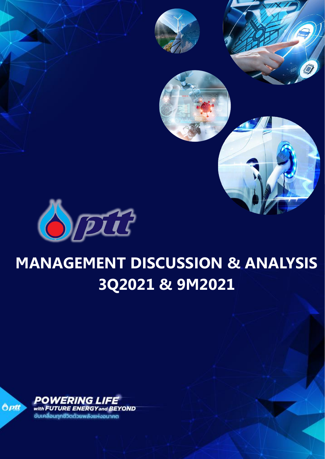

# **MANAGEMENT DISCUSSION & ANALYSIS 3Q2021 & 9M2021**

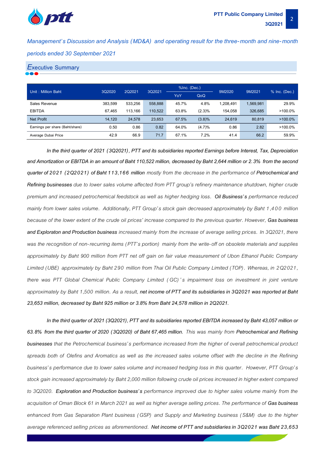

*Management's Discussion and Analysis (MD&A) and operating result for the three-month and nine-month periods ended 30 September 2021*

#### *E***xecutive Summary**

| Unit: Million Baht              | 3Q2020  | 2Q2021  | 3Q2021  | %Inc. (Dec.) |        | 9M2020    | 9M2021    | % Inc. (Dec.) |
|---------------------------------|---------|---------|---------|--------------|--------|-----------|-----------|---------------|
|                                 |         |         | YoY     |              | QoQ    |           |           |               |
| Sales Revenue                   | 383.599 | 533.256 | 558.888 | 45.7%        | 4.8%   | 1.208.491 | 1.569.981 | 29.9%         |
| <b>EBITDA</b>                   | 67.465  | 113.166 | 110.522 | 63.8%        | (2.3)% | 154.058   | 326.685   | $>100.0\%$    |
| Net Profit                      | 14.120  | 24,578  | 23,653  | 67.5%        | (3.8)% | 24,619    | 80,819    | $>100.0\%$    |
| Earnings per share (Baht/share) | 0.50    | 0.86    | 0.82    | 64.0%        | (4.7)% | 0.86      | 2.82      | $>100.0\%$    |
| Average Dubai Price             | 42.9    | 66.9    | 71.7    | 67.1%        | 7.2%   | 41.4      | 66.2      | 59.9%         |

*In the third quarter of 2021 (3Q2021), PTT and its subsidiaries reported Earnings before Interest, Tax, Depreciation and Amortization or EBITDA in an amount of Baht 110,522 million, decreased by Baht 2,644 million or 2.3% from the second quarter of 2021 (2Q2021) of Baht 113,166 million mostly from the decrease in the performance of Petrochemical and Refining businesses due to lower sales volume affected from PTT group's refinery maintenance shutdown, higher crude premium and increased petrochemical feedstock as well as higher hedging loss. Oil Business's performance reduced mainly from lower sales volume. Additionally, PTT Group's stock gain decreased approximately by Baht 1,400 million because of the lower extent of the crude oil prices' increase compared to the previous quarter. However, Gas business and Exploratonand Production business increased mainly from the increase of average selling prices. In 3Q2021, there was the recognition of non-recurring items (PTT's portion) mainly from the write-off on obsolete materials and supplies approximately by Baht 900 million from PTT net off gain on fair value measurement of Ubon Ethanol Public Company Limited (UBE) approximately by Baht 290 million from Thai Oil Public Company Limited (TOP). Whereas, in 2Q2021, there was PTT Global Chemical Public Company Limited ( GC) 's impairment loss on investment in joint venture approximately by Baht 1,500 million. As a result, net income of PTT and its subsidiaries in 3Q2021 was reported at Baht 23,653 million, decreased by Baht 925 million or 3.8% from Baht 24,578 million in 2Q2021.*

*In the third quarter of 2021 (3Q2021), PTT and its subsidiaries reported EBITDA increased by Baht 43,057 million or 63.8% from the third quarter of 2020 (3Q2020) of Baht 67,465 million. This was mainly from Petrochemical and Refining businesses that the Petrochemical business's performance increased from the higher of overall petrochemical product spreads both of Olefins and Aromatics as well as the increased sales volume offset with the decline in the Refining business's performance due to lower sales volume and increased hedging loss in this quarter. However, PTT Group's*  stock gain increased approximately by Baht 2,000 million following crude oil prices increased in higher extent compared *to 3Q2020. Exploration and Production business's performance improved due to higher sales volume mainly from the acquisition of Oman Block 61 in March 2021 as well as higher average selling prices. The performance of Gas business enhanced from Gas Separation Plant business (GSP) and Supply and Marketing business ( S&M) due to the higher average referenced selling prices as aforementioned. Net income of PTT and subsidiaries in 3Q2021 was Baht 23,653*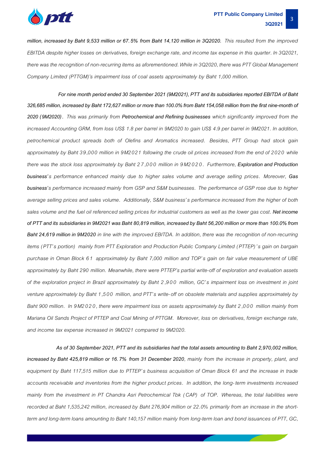

*million, increased by Baht 9,533 million or 67.5% from Baht 14,120 million in 3Q2020. This resulted from the improved EBITDA despite higher losses on derivatives, foreign exchange rate, and income tax expense in this quarter. In 3Q2021, there was the recognition of non-recurring items as aforementioned. While in 3Q2020, there was PTT Global Management Company Limited (PTTGM)'s impairment loss of coal assets approximately by Baht 1,000 million.*

*For nine month period ended 30 September 2021 (9M2021), PTT and its subsidiaries reported EBITDA of Baht 326,685 million, increased by Baht 172,627 million or more than 100.0% from Baht 154,058 million from the first nine-month of 2020 (9M2020) . This was primarily from Petrochemical and Refining businesses which significantly improved from the increased Accounting GRM, from loss US\$ 1.8 per barrel in 9M2020 to gain US\$ 4.9 per barrel in 9M2021. In addition, petrochemical product spreads both of Olefins and Aromatics increased. Besides, PTT Group had stock gain approximately by Baht 39,000 million in 9M2021 following the crude oil prices increased from the end of 2020 while there was the stock loss approximately by Baht 2 7,000 million in 9M2 0 2 0. Furthermore, Exploration and Production business's performance enhanced mainly due to higher sales volume and average selling prices. Moreover, Gas business's performance increased mainly from GSP and S&M businesses. The performance of GSP rose due to higher average selling prices and sales volume. Additionally, S&M business's performance increased from the higher of both sales volume and the fuel oil referenced selling prices for industrial customers as well as the lower gas cost. Net income*  of PTT and its subsidiaries in 9M2021 was Baht 80,819 million, increased by Baht 56,200 million or more than 100.0% from *Baht 24,619 million in 9M2020 in line with the improved EBITDA. In addition, there was the recognition of non-recurring items (PTT's portion) mainly from PTT Exploration and Production Public Company Limited (PTTEP)'s gain on bargain purchase in Oman Block 61 approximately by Baht 7,000 million and TOP's gain on fair value measurement of UBE approximately by Baht 290 million. Meanwhile, there were PTTEP's partial write-off of exploration and evaluation assets of the exploration project in Brazil approximately by Baht 2,900 million, GC's impairment loss on investment in joint venture approximately by Baht 1,500 million, and PTT's write-off on obsolete materials and supplies approximately by Baht 900 million. In 9M2020, there were impairment loss on assets approximately by Baht 2,000 million mainly from Mariana Oil Sands Project of PTTEP and Coal Mining of PTTGM. Moreover, loss on derivatives, foreign exchange rate, and income tax expense increased in 9M2021 compared to 9M2020.*

 *As of 30 September 2021, PTT and its subsidiaries had the total assets amounting to Baht 2,970,002 million, increased by Baht 425,819 million or 16.7% from 31 December 2020, mainly from the increase in property, plant, and equipment by Baht 117,515 million due to PTTEP's business acquisition of Oman Block 61 and the increase in trade accounts receivable and inventories from the higher product prices. In addition, the long- term investments increased mainly from the investment in PT Chandra Asri Petrochemical Tbk (CAP) of TOP. Whereas, the total liabilities were recorded at Baht 1,535,242 million, increased by Baht 276,904 million or 22.0% primarily from an increase in the shortterm and long-term loans amounting to Baht 140,157 million mainly from long-term loan and bond issuancesof PTT, GC,*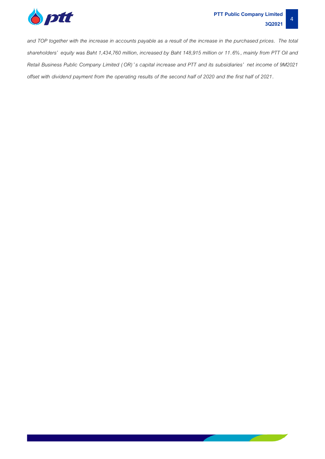

 $\sim 10^{11}$  m  $^{-1}$ 

*and TOP together with the increase in accounts payable as a result of the increase in the purchased prices. The total shareholders' equity was Baht 1,434,760 million, increased by Baht 148,915 million or 11.6%, mainly from PTT Oil and Retail Business Public Company Limited (OR) 's capital increase and PTT and its subsidiaries' net income of 9M2021 offset with dividend payment from the operating results of the second half of 2020 and the first half of 2021.*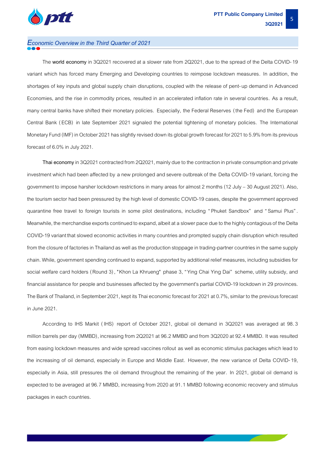

### *Economic Overview in the Third Quarter of 2021*

The **world economy** in 3Q2021 recovered at a slower rate from 2Q2021, due to the spread of the Delta COVID-19 variant which has forced many Emerging and Developing countries to reimpose lockdown measures. In addition, the shortages of key inputs and global supply chain disruptions, coupled with the release of pent-up demand in Advanced Economies, and the rise in commodity prices, resulted in an accelerated inflation rate in several countries. As a result, many central banks have shifted their monetary policies. Especially, the Federal Reserves (the Fed) and the European Central Bank ( ECB) in late September 2021 signaled the potential tightening of monetary policies. The International Monetary Fund (IMF) in October 2021 has slightly revised down its global growth forecast for 2021 to 5.9% from its previous forecast of 6.0% in July 2021.

Thai economy in 3Q2021 contracted from 2Q2021, mainly due to the contraction in private consumption and private investment which had been affected by a new prolonged and severe outbreak of the Delta COVID-19 variant, forcing the government to impose harsher lockdown restrictions in many areas for almost 2 months (12 July - 30 August 2021). Also, the tourism sector had been pressured by the high level of domestic COVID-19 cases, despite the government approved quarantine free travel to foreign tourists in some pilot destinations, including " Phuket Sandbox" and " Samui Plus" . Meanwhile, the merchandise exports continued to expand, albeit at a slower pace due to the highly contagious of the Delta COVID-19 variant that slowed economic activities in many countries and prompted supply chain disruption which resulted from the closure of factories in Thailand as well as the production stoppage in trading-partner countries in the same supply chain. While, government spending continued to expand, supported byadditional relief measures, including subsidies for social welfare card holders (Round 3), "Khon La Khrueng" phase 3, "Ying Chai Ying Dai" scheme, utility subsidy, and financial assistance for people and businesses affected by the government's partial COVID-19 lockdown in 29 provinces. The Bank of Thailand, in September 2021, kept its Thai economic forecast for 2021 at 0.7%, similar to the previous forecast in June 2021.

According to IHS Markit ( IHS) report of October 2021, global oil demand in 3Q2021 was averaged at 98.3 million barrels per day (MMBD), increasing from 2Q2021 at 96.2 MMBD and from 3Q2020 at 92.4 MMBD. It was resulted from easing lockdown measures and wide spread vaccines rollout as well as economic stimulus packages which lead to the increasing of oil demand, especially in Europe and Middle East. However, the new variance of Delta COVID-19, especially in Asia, still pressures the oil demand throughout the remaining of the year. In 2021, global oil demand is expected to be averaged at 96.7 MMBD, increasing from 2020 at 91.1 MMBD following economic recovery and stimulus packages in each countries.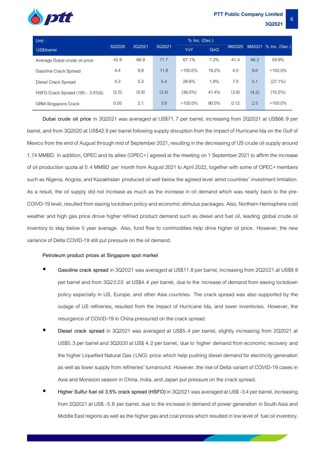

|       |        |        | YoY        | QoQ   |                 |       | 9M2021 % Inc. (Dec.) |
|-------|--------|--------|------------|-------|-----------------|-------|----------------------|
| 42.9  | 66.9   | 71.7   | 67.1%      | 7.2%  | 41.4            | 66.2  | 59.9%                |
| 4.4   | 9.9    | 11.8   | $>100.0\%$ | 19.2% | 4.5             | 9.6   | $>100.0\%$           |
| 4.2   | 5.3    | 5.4    | 28.6%      | 1.9%  | 7.0             | 5.1   | $(27.1\%)$           |
| (2.5) | (5.8)  | (3.4)  | $(36.0\%)$ | 41.4% | (3.8)           | (4.2) | $(10.5\%)$           |
|       | 3Q2020 | 2Q2021 | 3Q2021     |       | $%$ Inc. (Dec.) |       | 9M2020               |

GRM-Singapore Crack 0.05 2.1 3.8 >100.0% 90.0% 0.12 2.5 >100.0%

**Dubai crude oil price** in 3Q2021 was averaged at US\$71.7 per barrel, increasing from 2Q2021 at US\$66.9 per barrel, and from 3Q2020 at US\$42.9 per barrel following supply disruption from the impact of Hurricane Ida on the Gulf of Mexico from the end of August through mid of September 2021, resulting in the decreasing of US crude oil supply around 1.74 MMBD. In addition, OPEC and its allies (OPEC+) agreed at the meeting on 1 September 2021 to affirm the increase of oil production quota at 0.4 MMBD per month from August 2021 to April 2022, together with some of OPEC+members such as Nigeria, Angola, and Kazakhstan produced oil well below the agreed level amid countries' investment limitation. As a result, the oil supply did not increase as much as the increase in oil demand which was nearly back to the pre-COIVD-19 level, resulted from easing lockdown policy and economic stimulus packages. Also, Northern Hemisphere cold weather and high gas price drove higher refined product demand such as diesel and fuel oil, leading global crude oil inventory to stay below 5 year average. Also, fund flow to commodities help drive higher oil price. However, the new variance of Delta COVID-19 still put pressure on the oil demand.

#### **Petroleum product prices at Singapore spot market**

- Gasoline crack spread in 3Q2021 was averaged at US\$11.8 per barrel, increasing from 2Q2021 at US\$9.9 per barrel and from 3Q2 0 20 at US\$4.4 per barrel, due to the increase of demand from easing lockdown policy especially in US, Europe, and other Asia countries. The crack spread was also supported by the outage of US refineries, resulted from the impact of Hurricane Ida, and lower inventories. However, the resurgence of COVID-19 in China pressured on the crack spread.
- **Diesel crack spread** in 3Q2021 was averaged at US\$5.4 per barrel, slightly increasing from 2Q2021 at US\$5.3 per barrel and 3Q2020 at US\$ 4.2 per barrel, due to higher demand from economic recovery and the higher Liquefied Natural Gas (LNG) price which help pushing diesel demand for electricity generation as well as lower supply from refineries' turnaround. However, the rise of Delta variant of COVID-19 cases in Asia and Monsoon season in China, India, and Japan put pressure on the crack spread.
- **Higher Sulfur fuel oil 3.5% crack spread (HSFO)** in 3Q2021 was averaged at US\$ -3.4 per barrel, increasing from 2Q2021 at US\$ -5.8 per barrel, due to the increase in demand of power generation in South Asia and Middle East regions as well as the higher gas and coal prices which resulted in low level of fuel oil inventory.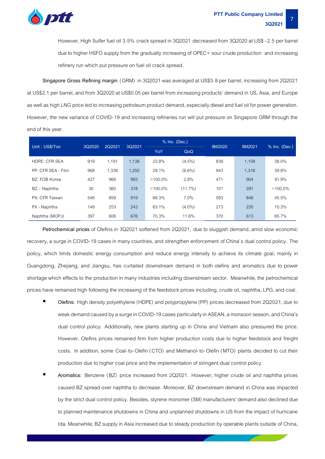

However, High Sulfer fuel oil 3.5% crack spread in 3Q2021 decreased from 3Q2020 at US\$ -2.5 per barrel due to higher HSFO supply from the gradually increasing of OPEC+ sour crude production and increasing refinery run which put pressure on fuel oil crack spread.

**Singapore Gross Refining margin** (GRM) in 3Q2021 was averaged at US\$3.8 per barrel, increasing from 2Q2021 at US\$2.1 per barrel, and from 3Q2020 at US\$0.05 per barrel from increasing products' demand in US, Asia, and Europe as well as high LNG price led to increasing petroleum product demand, especially diesel and fuel oil for power generation. However, the new variance of COVID-19 and increasing refineries run will put pressure on Singapore GRM through the end of this year.

| Unit: US\$/Ton       | 3Q2020 | 2Q2021 | 3Q2021 |            | % Inc. (Dec.) | 9M2020 | 9M2021 |                 |
|----------------------|--------|--------|--------|------------|---------------|--------|--------|-----------------|
|                      |        |        | YoY    |            | QoQ           |        |        | $%$ Inc. (Dec.) |
| <b>HDPE: CFR SEA</b> | 919    | 1,191  | 1,138  | 23.8%      | $(4.5\%)$     | 839    | 1,158  | 38.0%           |
| PP: CFR SFA - Film   | 968    | 1,338  | 1,250  | 29.1%      | $(6.6\%)$     | 943    | 1,318  | 39.8%           |
| BZ: FOB Korea        | 427    | 966    | 993    | $>100.0\%$ | 2.8%          | 471    | 904    | 91.9%           |
| BZ - Naphtha         | 30     | 360    | 318    | $>100.0\%$ | (11.7%)       | 101    | 291    | $>100.0\%$      |
| PX: CFR Taiwan       | 546    | 859    | 919    | 68.3%      | 7.0%          | 583    | 848    | 45.5%           |
| PX - Naphtha         | 149    | 253    | 243    | 63.1%      | $(4.0\%)$     | 213    | 235    | 10.3%           |
| Naphtha (MOPJ)       | 397    | 606    | 676    | 70.3%      | 11.6%         | 370    | 613    | 65.7%           |

**Petrochemical prices** of Olefins in 3Q2021 softened from 2Q2021, due to sluggish demand, amid slow economic recovery, a surge in COVID-19 cases in many countries, and strengthen enforcement of China's dual control policy. The policy, which limits domestic energy consumption and reduce energy intensity to achieve its climate goal, mainly in Guangdong, Zhejiang, and Jiangsu, has curtailed downstream demand in both olefins and aromatics due to power shortage which effects to the production in many industries including downstream sector. Meanwhile, the petrochemical prices have remained high following the increasing of the feedstock prices including, crude oil, naphtha, LPG, and coal.

- **Olefins:** High density polyethylene (HDPE) and polypropylene (PP) prices decreased from 2Q2021, due to weak demand caused by a surge in COVID-19 cases particularly in ASEAN, a monsoonseason, and China's dual control policy. Additionally, new plants starting up in China and Vietnam also pressured the price. However, Olefins prices remained firm from higher production costs due to higher feedstock and freight costs. In addition, some Coal-to-Olefin (CTO) and Methanol-to-Olefin (MTO) plants decided to cut their production due to higher coal price and the implementation of stringent dual control policy.
- **Aromatics:** Benzene (BZ) price increased from 2Q2021. However, higher crude oil and naphtha prices caused BZ spread over naphtha to decrease. Moreover, BZ downstream demand in China was impacted by the strict dual control policy. Besides, styrene monomer (SM) manufacturers' demand also declined due to planned maintenance shutdowns in China and unplanned shutdowns in US from the impact of hurricane Ida. Meanwhile, BZ supply in Asia increased due to steady production by operable plants outside of China,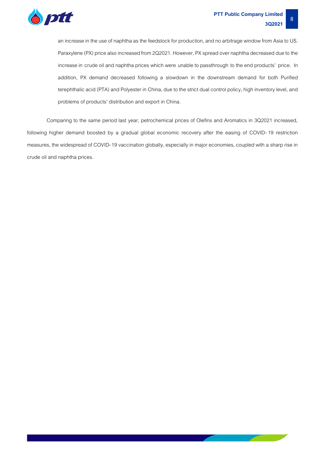

an increase in the use of naphtha as the feedstock for production, and no arbitrage window from Asia to US. Paraxylene (PX) price also increased from 2Q2021. However, PX spread over naphtha decreased due to the increase in crude oil and naphtha prices which were unable to passthrough to the end products' price. In addition, PX demand decreased following a slowdown in the downstream demand for both Purified terephthalic acid (PTA) and Polyester in China, due to the strict dual control policy, high inventory level, and problems of products' distribution and export in China.

Comparing to the same period last year, petrochemical prices of Olefins and Aromatics in 3Q2021 increased, following higher demand boosted by a gradual global economic recovery after the easing of COVID-19 restriction measures, the widespread of COVID-19 vaccination globally, especially in major economies, coupled with a sharp rise in crude oil and naphtha prices.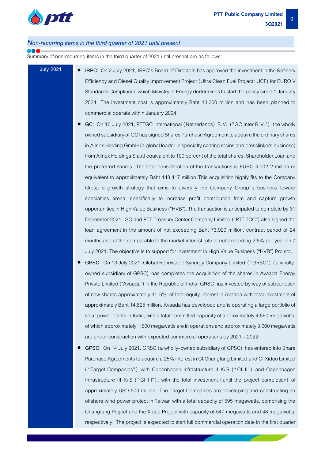

#### *Non-recurring items in the third quarter of2021 until present*

Summary of non-recurring items in the third quarter of 2021 until present are as follows:

- **July 2021 IRPC**: On 2 July 2021, IRPC's Board of Directors has approved the investment in the Refinery Efficiency and Diesel Quality Improvement Project (Ultra Clean Fuel Project: UCF) for EURO V Standards Compliance which Ministry of Energy dertermines to start the policy since1 January 2024. The investment cost is approximately Baht 13,300 million and has been planned to commercial operate within January 2024.
	- **GC**: On 10 July 2021, PTTGC International (Netherlands) B.V. ( "GC Inter B.V."), the wholly owned subsidiary of GC has signed Shares Purchase Agreement to acquire the ordinary shares in Allnex Holding GmbH (a global leader in specialty coating resins and crosslinkers business) from Allnex Holdings S.à.r.lequivalent to 100 percent of the total shares, Shareholder Loanand the preferred shares. The total consideration of the transactions is EURO 4,002.2 million or equivalent to approximately Baht 148,417 million.This acquisition highly fits to the Company Group's growth strategy that aims to diversify the Company Group's business toward specialties arena, specifically to increase profit contribution from and capture growth opportunities in High Value Business ("HVB"). The transaction is anticipated to complete by 31 December 2021. GC and PTT Treasury Center Company Limited ("PTT TCC") also signed the loan agreement in the amount of not exceeding Baht 73,920 million, contract period of 24 months and at the comparable to the market interest rate of not exceeding 2.5% per year on 7 July 2021. The objective is to support for investment in High Value Business ("HVB") Project.
	- **GPSC**: On 13 July 2021, Global Renewable Synergy Company Limited ( "GRSC" ) (a whollyowned subsidiary of GPSC) has completed the acquisition of the shares in Avaada Energy Private Limited ("Avaada") in the Republic of India. GRSC has invested by way of subscription of new shares approximately 41.6% of total equity interest in Avaada with total investment of approximately Baht 14,825 million. Avaada has developed and is operating a large portfolio of solar power plants in India, with a total committed capacity of approximately 4,560 megawatts, of which approximately 1,500megawatts are in operations and approximately3,060megawatts are under construction with expected commercial operations by 2021 –2022.
	- **GPSC**: On 14July 2021, GRSC (a wholly-owned subsidiary of GPSC) has entered into Share Purchase Agreements to acquire a 25% interest in CI Changfang Limited and CI Xidao Limited ( "Target Companies" ) with Copenhagen Infrastructure II K/ S ( " CI- II" ) and Copenhagen Infrastructure III K/S ("CI-III"), with the total investment (until the project completion) of approximately USD 500 million. The Target Companies are developing and constructing an offshore wind power project in Taiwan with a total capacity of 595 megawatts, comprising the Changfang Project and the Xidao Project with capacity of 547 megawatts and 48 megawatts, respectively. The project is expected to start full commercial operation date in the first quarter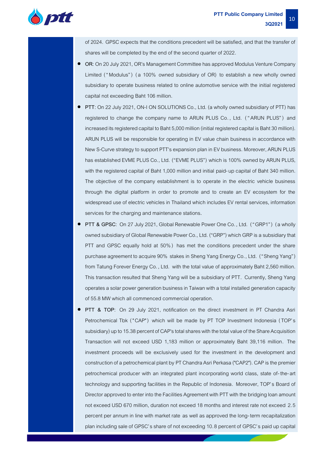

of 2024. GPSC expects that the conditions precedent will be satisfied, and that the transfer of shares will be completed by the end of the second quarter of 2022.

- **OR**: On 20 July 2021, OR's Management Committee has approved Modulus Venture Company Limited ("Modulus") (a 100% owned subsidiary of OR) to establish a new wholly owned subsidiary to operate business related to online automotive service with the initial registered capital not exceeding Baht 106 million.
- **PTT**: On 22July 2021, ON-I ON SOLUTIONS Co., Ltd. (a wholly owned subsidiary of PTT) has registered to change the company name to ARUN PLUS Co. , Ltd. ( " ARUN PLUS" ) and increased its registered capital to Baht 5,000 million (initial registered capital is Baht 30 million). ARUN PLUS will be responsible for operating in EV value chain business in accordance with New S-Curve strategy to support PTT's expansion plan in EV business. Moreover, ARUN PLUS has established EVME PLUS Co., Ltd. ("EVME PLUS") which is 100% owned by ARUN PLUS, with the registered capital of Baht 1,000 million and initial paid-up capital of Baht 340 million. The objective of the company establishment is to operate in the electric vehicle business through the digital platform in order to promote and to create an EV ecosystem for the widespread use of electric vehicles in Thailand which includes EV rental services, information services for the charging and maintenance stations**.**
- **PTT & GPSC**: On 27 July 2021, Global Renewable Power One Co., Ltd. ("GRP1") (a wholly owned subsidiary of Global Renewable Power Co., Ltd. ("GRP") which GRP is a subsidiary that PTT and GPSC equally hold at 50% ) has met the conditions precedent under the share purchase agreement to acquire 90% stakes in Sheng Yang Energy Co., Ltd. ("Sheng Yang") from Tatung Forever Energy Co. , Ltd. with the total value of approximately Baht 2,560 million. This transaction resulted that Sheng Yang will be a subsidiary of PTT. Currently, Sheng Yang operates a solar power generation business in Taiwan with a total installed generation capacity of 55.8 MW which all commenced commercial operation.
- **PTT & TOP**: On 29 July 2021, notification on the direct investment in PT Chandra Asri Petrochemical Tbk ("CAP") which will be made by PT TOP Investment Indonesia (TOP's subsidiary) up to 15.38 percent of CAP's total shares with the total value of the Share Acquisition Transaction will not exceed USD 1,183 million or approximately Baht 39,116 million. The investment proceeds will be exclusively used for the investment in the development and construction of a petrochemical plant by PT Chandra Asri Perkasa ("CAP2"). CAP is the premier petrochemical producer with an integrated plant incorporating world class, state of-the-art technology and supporting facilities in the Republic of Indonesia. Moreover, TOP's Board of Director approved to enter into the Facilities Agreement with PTT with the bridging loan amount not exceed USD 670 million, duration not exceed 18 months and interest rate not exceed 2.5 percent per annum in line with market rate as well as approved the long-term recapitalization plan including sale of GPSC's share of not exceeding 10.8 percent of GPSC's paid up capital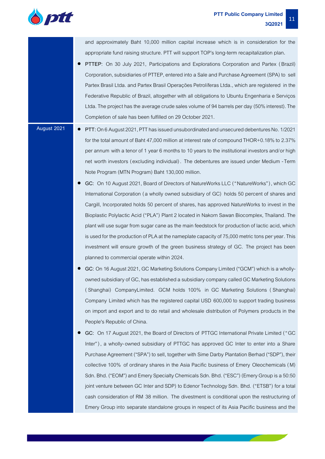

and approximately Baht 10,000 million capital increase which is in consideration for the appropriate fund raising structure. PTT will support TOP's long-term recapitalization plan**.**

- **PTTEP**: On 30 July 2021, Participations and Explorations Corporation and Partex ( Brazil) Corporation, subsidiaries of PTTEP, entered into a Sale and Purchase Agreement (SPA) to sell Partex Brasil Ltda. and Partex Brasil Operações Petrolíferas Ltda., which are registered in the Federative Republic of Brazil, altogether with all obligations to Ubuntu Engenharia e Serviços Ltda. The project has the average crude sales volume of 94 barrels per day (50% interest). The Completion of sale has been fulfilled on 29 October 2021.
- 
- **August 2021 PTT:** On 6 August 2021, PTT has issued unsubordinated and unsecured debentures No. 1/2021 for the total amount of Baht 47,000 million at interest rate of compound THOR+0.18% to 2.37% per annum with a tenor of 1 year 6 months to 10years to the institutional investors and/or high net worth investors (excluding individual) . The debentures are issued under Medium -Term Note Program (MTN Program) Baht 130,000 million.
	- **GC:** On 10 August 2021, Board of Directors of NatureWorks LLC ("NatureWorks"), which GC International Corporation (a wholly owned subsidiary of GC) holds 50 percent of shares and Cargill, Incorporated holds 50 percent of shares, has approved NatureWorks to invest in the Bioplastic Polylactic Acid ("PLA") Plant 2 located in Nakorn Sawan Biocomplex, Thailand. The plant will use sugar from sugar cane as the main feedstock for production of lactic acid, which is used for the production of PLA at the nameplate capacity of 75,000 metric tons per year. This investment will ensure growth of the green business strategy of GC. The project has been planned to commercial operate within 2024.
	- **GC:** On 16 August 2021, GC Marketing Solutions Company Limited ("GCM") which is a whollyowned subsidiary of GC, has established a subsidiarycompany called GC Marketing Solutions ( Shanghai) CompanyLimited. GCM holds 100% in GC Marketing Solutions ( Shanghai) Company Limited which has the registered capital USD 600,000 to support trading business on import and export and to do retail and wholesale distribution of Polymers products in the People's Republic of China.
	- **GC:** On 17 August 2021, the Board of Directors of PTTGC International Private Limited ( "GC Inter"), a wholly-owned subsidiary of PTTGC has approved GC Inter to enter into a Share Purchase Agreement ("SPA") to sell, together with Sime Darby Plantation Berhad ("SDP"), their collective 100% of ordinary shares in the Asia Pacific business of Emery Oleochemicals (M) Sdn. Bhd. ("EOM") and Emery Specialty Chemicals Sdn. Bhd. ("ESC") (Emery Group is a 50:50 joint venture between GC Inter and SDP) to Edenor Technology Sdn. Bhd. ("ETSB") for a total cash consideration of RM 38 million. The divestment is conditional upon the restructuring of Emery Group into separate standalone groups in respect of its Asia Pacific business and the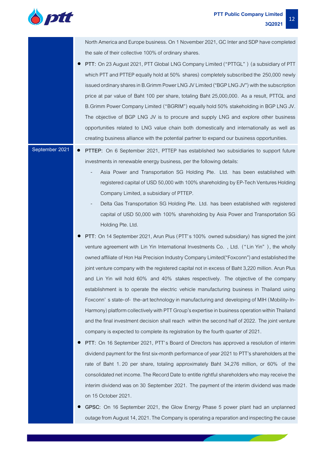

North America and Europe business. On 1 November 2021, GC Inter and SDP have completed the sale of their collective 100% of ordinary shares.

• **PTT:** On 23 August 2021, PTT Global LNG Company Limited ("PTTGL" ) (a subsidiary of PTT which PTT and PTTEP equally hold at 50% shares) completely subscribed the 250,000 newly issued ordinary shares in B.Grimm Power LNG JV Limited ("BGP LNG JV") with the subscription price at par value of Baht 100 per share, totaling Baht 25,000,000. As a result, PTTGL and B.Grimm Power Company Limited ("BGRIM") equally hold 50% stakeholding in BGP LNG JV. The objective of BGP LNG JV is to procure and supply LNG and explore other business opportunities related to LNG value chain both domestically and internationally as well as creating business alliance with the potential partner to expand our business opportunities.

- **September 2021 PTTEP:** On 6 September 2021, PTTEP has established two subsidiaries to support future investments in renewable energy business, per the following details:
	- Asia Power and Transportation SG Holding Pte. Ltd. has been established with registered capital of USD 50,000 with 100% shareholding by EP-Tech Ventures Holding Company Limited, a subsidiary of PTTEP.
	- Delta Gas Transportation SG Holding Pte. Ltd. has been established with registered capital of USD 50,000 with 100% shareholding by Asia Power and Transportation SG Holding Pte. Ltd.
	- **PTT:** On 14 September 2021, Arun Plus (PTT's 100% owned subsidiary) has signed the joint venture agreement with Lin Yin International Investments Co., Ltd. ("Lin Yin"), the wholly owned affiliate of Hon Hai Precision Industry Company Limited("Foxconn") and established the joint venture company with the registered capital not in excess of Baht 3,220 million. Arun Plus and Lin Yin will hold 60% and 40% stakes respectively. The objective of the company establishment is to operate the electric vehicle manufacturing business in Thailand using Foxconn' s state-of- the-art technology in manufacturing and developing of MIH (Mobility-In-Harmony) platform collectively with PTT Group's expertise in business operation within Thailand and the final investment decision shall reach within the second half of 2022. The joint venture company is expected to complete its registration by the fourth quarter of 2021.
	- **PTT:** On 16 September 2021, PTT's Board of Directors has approved a resolution of interim dividend payment for the first six-month performance of year 2021 to PTT's shareholders at the rate of Baht 1.20 per share, totaling approximately Baht 34,276 million, or 60% of the consolidated net income. The Record Date to entitle rightful shareholders who may receive the interim dividend was on 30 September 2021. The payment of the interim dividend was made on 15 October 2021.
	- **GPSC:** On 16 September 2021, the Glow Energy Phase 5 power plant had an unplanned outage from August 14, 2021. The Company is operating a reparationand inspecting the cause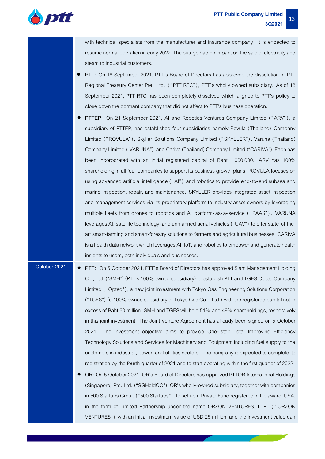

with technical specialists from the manufacturer and insurance company. It is expected to resume normal operation in early 2022. The outage had no impact on the sale of electricity and steam to industrial customers.

- **PTT:** On 18 September 2021, PTT's Board of Directors has approved the dissolution of PTT Regional Treasury Center Pte. Ltd. ( "PTT RTC" ), PTT's wholly owned subsidiary. As of 18 September 2021, PTT RTC has been completely dissolved which aligned to PTT's policy to close down the dormant company that did not affect to PTT's business operation.
- **PTTEP:** On 21 September 2021, AI and Robotics Ventures Company Limited ( "ARV" ), a subsidiary of PTTEP, has established four subsidiaries namely Rovula (Thailand) Company Limited ("ROVULA"), Skyller Solutions Company Limited ("SKYLLER"), Varuna (Thailand) Company Limited ("VARUNA"), and Cariva (Thailand) Company Limited ("CARIVA"). Eachhas been incorporated with an initial registered capital of Baht 1,000,000. ARV has 100% shareholding in all four companies to support its business growth plans. ROVULA focuses on using advanced artificial intelligence ("AI") and robotics to provide end-to-end subsea and marine inspection, repair, and maintenance. SKYLLER provides integrated asset inspection and management services via its proprietary platform to industry asset owners by leveraging multiple fleets from drones to robotics and AI platform-as-a-service ( " PAAS" ) . VARUNA leverages AI, satellite technology, and unmanned aerial vehicles ("UAV") to offer state-of theart smart-farming and smart-forestry solutions to farmers and agricultural businesses. CARIVA is a health data network which leverages AI, IoT, and robotics to empower and generate health insights to users, both individuals and businesses.
- **October 2021 PTT:** On 5 October 2021, PTT's Board of Directors has approved Siam Management Holding Co., Ltd. ("SMH") (PTT's 100% owned subsidiary) to establish PTT and TGES Optec Company Limited ( "Optec"), a new joint investment with Tokyo Gas Engineering Solutions Corporation ("TGES") (a 100% owned subsidiary of Tokyo Gas Co. , Ltd.) with the registered capital not in excess of Baht 60 million. SMH and TGES will hold 51% and 49% shareholdings, respectively in this joint investment. The Joint Venture Agreement has already been signed on 5 October 2021. The investment objective aims to provide One- stop Total Improving Efficiency Technology Solutions and Services for Machinery and Equipment including fuel supply to the customers in industrial, power, and utilities sectors. The company is expected to complete its registration by the fourth quarter of 2021 and to start operating within the first quarter of 2022.
	- **OR:** On 5 October 2021, OR's Board of Directors has approved PTTOR International Holdings (Singapore) Pte. Ltd. ("SGHoldCO"), OR's wholly-owned subsidiary, together with companies in 500 Startups Group ("500 Startups"), to set up a Private Fund registered in Delaware, USA, in the form of Limited Partnership under the name ORZON VENTURES, L. P. ( " ORZON VENTURES") with an initial investment value of USD 25 million, and the investment value can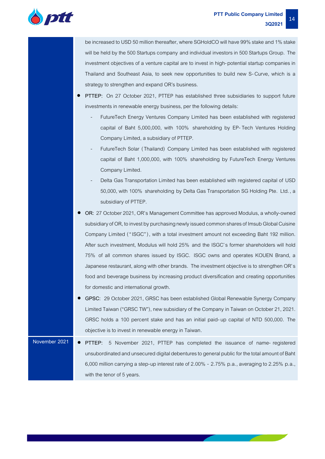

be increased to USD 50 million thereafter, where SGHoldCO will have 99% stake and 1% stake will be held by the 500 Startups company and individual investors in 500 Startups Group. The investment objectives of a venture capital are to invest in high-potential startup companies in Thailand and Southeast Asia, to seek new opportunities to build new S-Curve, which is a strategy to strengthen and expand OR's business.

- **PTTEP:** On 27 October 2021, PTTEP has established three subsidiaries to support future investments in renewable energy business, per the following details:
	- FutureTech Energy Ventures Company Limited has been established with registered capital of Baht 5,000,000, with 100% shareholding by EP-Tech Ventures Holding Company Limited, a subsidiary of PTTEP.
	- FutureTech Solar (Thailand) Company Limited has been established with registered capital of Baht 1,000,000, with 100% shareholding by FutureTech Energy Ventures Company Limited.
	- Delta Gas Transportation Limited has been established with registered capital of USD 50,000, with 100% shareholding by Delta Gas Transportation SG Holding Pte. Ltd. , a subsidiary of PTTEP.
- **OR:** 27 October 2021, OR's Management Committee has approved Modulus, a wholly-owned subsidiary of OR, to invest by purchasing newly issued common shares of Imsub Global Cuisine Company Limited ("ISGC"), with a total investment amount not exceeding Baht 192 million. After such investment, Modulus will hold 25% and the ISGC's former shareholders will hold 75% of all common shares issued by ISGC. ISGC owns and operates KOUEN Brand, a Japanese restaurant, along with other brands. The investment objective is to strengthen OR's food and beverage business by increasing product diversification and creating opportunities for domestic and international growth.
- **GPSC:** 29 October 2021, GRSC has been established Global Renewable Synergy Company Limited Taiwan ("GRSC TW"), new subsidiary of the Company in Taiwan on October 21, 2021. GRSC holds a 100 percent stake and has an initial paid-up capital of NTD 500,000. The objective is to invest in renewable energy in Taiwan.
- **November 2021 PTTEP:** 5 November 2021, PTTEP has completed the issuance of name- registered unsubordinated and unsecured digital debentures to general public for the total amount of Baht 6,000 million carrying a step-up interest rate of 2.00% - 2.75% p.a., averaging to 2.25% p.a., with the tenor of 5 years.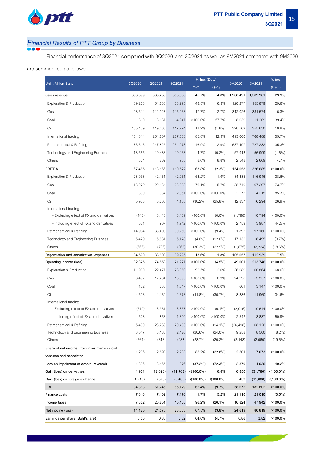

# *Financial Results of PTT Group by Business*

Financial performance of 3Q2021 compared with 3Q2020 and 2Q2021 as well as 9M2021 compared with 9M2020

#### are summarized as follows:

| Unit: Million Baht                            | 3Q2020  | 2Q2021   | 3Q2021    | % Inc. (Dec.) |                                                     | 9M2020    | 9M2021    | $%$ Inc.         |
|-----------------------------------------------|---------|----------|-----------|---------------|-----------------------------------------------------|-----------|-----------|------------------|
|                                               |         |          |           | YoY           | QoQ                                                 |           |           | (Dec.)           |
| Sales revenue                                 | 383,599 | 533,256  | 558,888   | 45.7%         | 4.8%                                                | 1,208,491 | 1,569,981 | 29.9%            |
| : Exploration & Production                    | 39,263  | 54,830   | 58,295    | 48.5%         | 6.3%                                                | 120,277   | 155,879   | 29.6%            |
| : Gas                                         | 98,514  | 112,927  | 115,933   | 17.7%         | 2.7%                                                | 312,026   | 331,574   | 6.3%             |
| : Coal                                        | 1,810   | 3,137    | 4,947     | $>100.0\%$    | 57.7%                                               | 8,039     | 11,209    | 39.4%            |
| : Oil                                         | 105,439 | 119,466  | 117,274   | 11.2%         | $(1.8\%)$                                           | 320,569   | 355,630   | 10.9%            |
| : International trading                       | 154,814 | 254,807  | 287,583   | 85.8%         | 12.9%                                               | 493,600   | 768,488   | 55.7%            |
| : Petrochemical & Refining                    | 173,616 | 247,825  | 254,978   | 46.9%         | 2.9%                                                | 537,497   | 727,232   | 35.3%            |
| : Technology and Engineering Business         | 18,565  | 19,483   | 19,438    | 4.7%          | $(0.2\%)$                                           | 57,913    | 56,999    | $(1.6\%)$        |
| : Others                                      | 864     | 862      | 938       | 8.6%          | 8.8%                                                | 2,548     | 2,669     | 4.7%             |
| <b>EBITDA</b>                                 | 67,465  | 113,166  | 110,522   | 63.8%         | (2.3%)                                              | 154,058   | 326,685   | >100.0%          |
| : Exploration & Production                    | 28,038  | 42,161   | 42,961    | 53.2%         | 1.9%                                                | 84,385    | 116,946   | 38.6%            |
| : Gas                                         | 13,279  | 22,134   | 23,388    | 76.1%         | 5.7%                                                | 38,740    | 67,297    | 73.7%            |
| : Coal                                        | 380     | 934      | 2,051     | $>100.0\%$    | $>100.0\%$                                          | 2,275     | 4,215     | 85.3%            |
| : Oil                                         | 5,958   | 5,605    | 4,158     | $(30.2\%)$    | $(25.8\%)$                                          | 12,837    | 16,294    | 26.9%            |
| : International trading                       |         |          |           |               |                                                     |           |           |                  |
| - Excluding effect of FX and derivatives      | (446)   | 3,410    | 3,409     | $>100.0\%$    | $(0.0\%)$                                           | (1,798)   | 10,794    | $>100.0\%$       |
| - Including effect of FX and derivatives      | 601     | 907      | 1,942     | $>100.0\%$    | $>100.0\%$                                          | 2,759     | 3,987     | 44.5%            |
| : Petrochemical & Refining                    | 14,984  | 33,408   | 30,260    | $>100.0\%$    | $(9.4\%)$                                           | 1,895     | 97,160    | $>100.0\%$       |
| : Technology and Engineering Business         | 5,429   | 5,881    | 5,178     | $(4.6\%)$     | $(12.0\%)$                                          | 17,132    | 16,495    | $(3.7\%)$        |
| : Others                                      | (666)   | (706)    | (868)     | $(30.3\%)$    | $(22.9\%)$                                          | (1,875)   | (2,224)   | $(18.6\%)$       |
| Depreciation and amortization expenses        | 34,590  | 38,608   | 39,295    | 13.6%         | 1.8%                                                | 105,057   | 112,939   | 7.5%             |
| Operating income (loss)                       | 32,875  | 74,558   | 71,227    | $>100.0\%$    | $(4.5\%)$                                           | 49,001    | 213,746   | >100.0%          |
| : Exploration & Production                    | 11,980  | 22,477   | 23,060    | 92.5%         | 2.6%                                                | 36,089    | 60,864    | 68.6%            |
| : Gas                                         | 8,497   | 17,484   | 18,695    | $>100.0\%$    | 6.9%                                                | 24,296    | 53,357    | $>100.0\%$       |
| : Coal                                        | 102     | 633      | 1,617     | $>100.0\%$    | $>100.0\%$                                          | 661       | 3,147     | $>100.0\%$       |
| : Oil                                         | 4,593   | 4,160    | 2,673     | $(41.8\%)$    | (35.7%)                                             | 8,886     | 11,960    | 34.6%            |
| : International trading                       |         |          |           |               |                                                     |           |           |                  |
| - Excluding effect of FX and derivatives      | (519)   | 3,361    | 3,357     | $>100.0\%$    | $(0.1\%)$                                           | (2,015)   | 10,644    | $>100.0\%$       |
| - Including effect of FX and derivatives      | 528     | 858      | 1,890     | $>100.0\%$    | $>100.0\%$                                          | 2,542     | 3,837     | 50.9%            |
| : Petrochemical & Refining                    | 5,430   | 23,739   | 20,403    | $>100.0\%$    | $(14.1\%)$                                          | (26, 498) | 68,126    | $>100.0\%$       |
| : Technology and Engineering Business         | 3,047   | 3,183    | 2,420     | $(20.6\%)$    | $(24.0\%)$                                          | 9,258     | 8,500     | $(8.2\%)$        |
| : Others                                      | (764)   | (818)    | (983)     | (28.7%)       | $(20.2\%)$                                          | (2, 143)  | (2,560)   | $(19.5\%)$       |
| Share of net income from investments in joint | 1,206   | 2,893    | 2,233     | 85.2%         | (22.8%)                                             | 2,501     | 7,073     | >100.0%          |
| ventures and associates                       |         |          |           |               |                                                     |           |           |                  |
| Loss on impairment of assets (reversal)       | 1,396   | 3,165    | 876       | (37.2%)       | (72.3%)                                             | 2,879     | 4,036     | 40.2%            |
| Gain (loss) on derivatives                    | 1,961   | (12,620) | (11, 768) | $< (100.0\%)$ | 6.8%                                                | 6,850     | (31, 786) | $< (100.0\%)$    |
| Gain (loss) on foreign exchange               | (1,213) | (873)    | (6, 405)  |               | $\langle 100.0\% \rangle$ $\langle 100.0\% \rangle$ | 459       | (11,608)  | $\leq (100.0\%)$ |
| <b>EBIT</b>                                   | 34,318  | 61,746   | 55,729    | 62.4%         | $(9.7\%)$                                           | 58,675    | 182,802   | $>100.0\%$       |
| Finance costs                                 | 7,346   | 7,102    | 7,470     | 1.7%          | 5.2%                                                | 21,110    | 21,010    | $(0.5\%)$        |
| Income taxes                                  | 7,852   | 20,851   | 15,408    | 96.2%         | $(26.1\%)$                                          | 16,824    | 47,942    | >100.0%          |
| Net income (loss)                             | 14,120  | 24,578   | 23,653    | 67.5%         | $(3.8\%)$                                           | 24,619    | 80,819    | $>100.0\%$       |
| Earnings per share (Baht/share)               | 0.50    | 0.86     | 0.82      | 64.0%         | (4.7%)                                              | 0.86      | 2.82      | >100.0%          |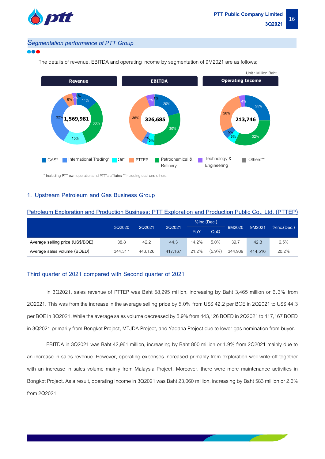

#### *Segmentation performance of PTT Group*



The details of revenue, EBITDA and operating income by segmentation of 9M2021 are as follows;

\* Including PTT own operation and PTT's affilates \*\*Including coal and others.

#### **1. Upstream Petroleum and Gas Business Group**

|                                  |         | $%$ Inc.(Dec.) |         |       |           |         |         |                |  |
|----------------------------------|---------|----------------|---------|-------|-----------|---------|---------|----------------|--|
|                                  | 3Q2020  | 2Q2021         | 3Q2021  | YoY   | QoQ       | 9M2020  | 9M2021  | $%$ Inc.(Dec.) |  |
| Average selling price (US\$/BOE) | 38.8    | 42.2           | 44.3    | 14.2% | 5.0%      | 39.7    | 42.3    | 6.5%           |  |
| Average sales volume (BOED)      | 344,317 | 443.126        | 417.167 | 21.2% | $(5.9\%)$ | 344.909 | 414.516 | 20.2%          |  |

**Petroleum Exploration and Production Business: PTT Exploration and Production Public Co., Ltd. (PTTEP)**

#### **Third quarter of 2021 compared with Second quarter of 2021**

In 3Q2021, sales revenue of PTTEP was Baht 58,295 million, increasing by Baht 3,465 million or 6.3% from 2Q2021. This was from the increase in the average selling price by 5.0% from US\$ 42.2 per BOE in 2Q2021 to US\$ 44.3 per BOE in 3Q2021. While the average sales volume decreased by 5.9% from 443,126 BOED in 2Q2021 to 417,167 BOED in 3Q2021 primarily from Bongkot Project, MTJDA Project, and Yadana Project due to lower gas nomination from buyer.

EBITDA in 3Q2021 was Baht 42,961 million, increasing by Baht 800 million or 1.9% from 2Q2021 mainly due to an increase in sales revenue. However, operating expenses increased primarily from exploration well write-off together with an increase in sales volume mainly from Malaysia Project. Moreover, there were more maintenance activities in Bongkot Project. As a result, operating income in 3Q2021 was Baht 23,060 million, increasing by Baht 583 million or 2.6% from 2Q2021.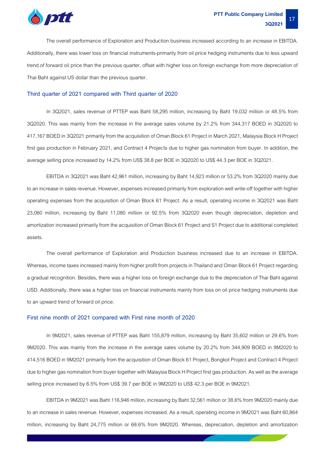

The overall performance of Exploration and Production business increased according to an increase in EBITDA. Additionally, there was lower loss on financial instruments primarily from oil price hedging instruments due to less upward trend of forward oil price than the previous quarter, offset with higher loss on foreign exchange from more depreciation of Thai Baht against US dollar than the previous quarter.

#### **Third quarter of 2021 compared with Third quarter of 2020**

In 3Q2021, sales revenue of PTTEP was Baht 58,295 million, increasing by Baht 19,032 million or 48.5% from 3Q2020. This was mainly from the increase in the average sales volume by 21.2% from 344,317 BOED in 3Q2020 to 417,167 BOED in 3Q2021 primarily from the acquisition of Oman Block 61 Project in March 2021, Malaysia Block H Project first gas production in February 2021, and Contract 4 Projects due to higher gas nomination from buyer. In addition, the average selling price increased by 14.2% from US\$ 38.8 per BOE in 3Q2020 to US\$ 44.3 per BOE in 3Q2021.

EBITDA in 3Q2021 was Baht 42,961 million, increasing by Baht 14,923 million or 53.2% from 3Q2020 mainly due to an increase in sales revenue. However, expenses increased primarily from exploration well write-off together with higher operating expenses from the acquisition of Oman Block 61 Project. As a result, operating income in 3Q2021 was Baht 23,060 million, increasing by Baht 11,080 million or 92.5% from 3Q2020 even though depreciation, depletion and amortization increased primarily from the acquisition of Oman Block 61 Project and S1 Project due to additional completed assets.

The overall performance of Exploration and Production business increased due to an increase in EBITDA. Whereas, income taxes increased mainly from higher profit from projects in Thailand and Oman Block 61 Project regarding a gradual recognition. Besides, there was a higher loss on foreign exchange due to the depreciation of Thai Baht against USD. Additionally, there was a higher loss on financial instruments mainly from loss on oil price hedging instruments due to an upward trend of forward oil price.

#### **First nine month of 2021 compared with First nine month of 2020**

In 9M2021, sales revenue of PTTEP was Baht 155,879 million, increasing by Baht 35,602 million or 29.6% from 9M2020. This was mainly from the increase in the average sales volume by 20.2% from 344,909 BOED in 9M2020 to 414,516 BOED in 9M2021 primarily from the acquisition of Oman Block 61 Project, Bongkot Project and Contract 4 Project due to higher gas nomination from buyer together with Malaysia Block H Project first gas production. As well as the average selling price increased by 6.5% from US\$ 39.7 per BOE in 9M2020 to US\$ 42.3 per BOE in 9M2021.

EBITDA in 9M2021 was Baht 116,946 million, increasing by Baht 32,561 million or 38.6% from 9M2020 mainly due to an increase in sales revenue. However, expenses increased. As a result, operating income in 9M2021 was Baht 60,864 million, increasing by Baht 24,775 million or 68.6% from 9M2020. Whereas, depreciation, depletion and amortization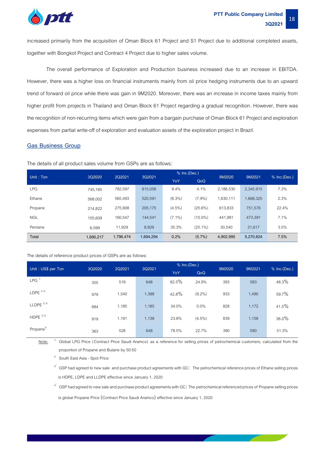

increased primarily from the acquisition of Oman Block 61 Project and S1 Project due to additional completed assets, together with Bongkot Project and Contract 4 Project due to higher sales volume.

The overall performance of Exploration and Production business increased due to an increase in EBITDA. However, there was a higher loss on financial instruments mainly from oil price hedging instruments due to an upward trend of forward oil price while there was gain in 9M2020. Moreover, there was an increase in income taxes mainly from higher profit from projects in Thailand and Oman Block 61 Project regarding a gradual recognition. However, there was the recognition of non-recurring items which were gain from a bargain purchase of Oman Block 61 Project and exploration expenses from partial write-off of exploration and evaluation assets of the exploration project in Brazil.

#### **Gas Business Group**

The details of all product sales volume from GSPs are as follows:

| Unit: Ton     | 3Q2020    | 2Q2021    | 3Q2021    | % Inc.(Dec.) |            | 9M2020<br>9M2021 |           | $%$ Inc.(Dec.) |  |
|---------------|-----------|-----------|-----------|--------------|------------|------------------|-----------|----------------|--|
|               |           |           |           | YoY          | QoQ        |                  |           |                |  |
| <b>LPG</b>    | 745.185   | 782,597   | 815.058   | 9.4%         | 4.1%       | 2.186.530        | 2,345,915 | 7.3%           |  |
| <b>Fthane</b> | 568,002   | 565,493   | 520,591   | $(8.3\%)$    | $(7.9\%)$  | 1,630,111        | 1,668,325 | 2.3%           |  |
| Propane       | 214.822   | 275,908   | 205,175   | $(4.5\%)$    | $(25.6\%)$ | 613,833          | 751,576   | 22.4%          |  |
| <b>NGL</b>    | 155.609   | 160,547   | 144.541   | $(7.1\%)$    | $(10.0\%)$ | 441,981          | 473,391   | 7.1%           |  |
| Pentane       | 6.599     | 11,929    | 8,929     | 35.3%        | $(25.1\%)$ | 30.540           | 31,617    | 3.5%           |  |
| Total         | 1,690,217 | 1,796,474 | 1,694,294 | 0.2%         | $(5.7\%)$  | 4.902.995        | 5,270,824 | 7.5%           |  |

The details of reference product prices of GSPs are as follows:

| Unit: US\$ per Ton    | 3Q2020 | 2Q2021 | 3Q2021 | % Inc.(Dec.) |           | 9M2020 | 9M2021 | % Inc.(Dec.) |  |
|-----------------------|--------|--------|--------|--------------|-----------|--------|--------|--------------|--|
|                       |        |        |        | YoY          | QoQ       |        |        |              |  |
| $LPG$ <sup>1/</sup>   | 355    | 519    | 648    | 82.5%        | 24.9%     | 393    | 583    | 48.3%        |  |
| $L$ DPE $^{2/3/2}$    | 979    | 1,540  | 1,398  | 42.8%        | $(9.2\%)$ | 933    | 1,490  | 59.7%        |  |
| $LLDPE$ $2/3/$        | 884    | 1,185  | 1,185  | 34.0%        | 0.0%      | 828    | 1,172  | 41.5%        |  |
| HDPE $^{2/3/2}$       | 919    | 1,191  | 1,138  | 23.8%        | $(4.5\%)$ | 839    | 1,158  | $38.0\%$     |  |
| Propane <sup>4/</sup> | 363    | 528    | 648    | 78.5%        | 22.7%     | 390    | 590    | 51.3%        |  |

 Note: Global LPG Price (Contract Price Saudi Aramco) as a reference for selling prices of petrochemical customers, calculated from the proportion of Propane and Butane by 50:50

<sup>2/</sup> South East Asia - Spot Price

 $^{\circ\prime}~$  GSP had agreed to new sale and purchase product agreements with GC: The petrochemical reference prices of Ethane selling prices is HDPE, LDPE and LLDPE effective since January 1, 2020

4/ GSP had agreed to new sale and purchase product agreements with GC: The petrochemical referenced prices of Propane selling prices

is global Propane Price (Contract Price Saudi Aramco) effective since January 1, 2020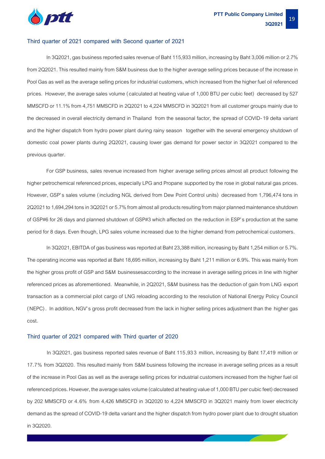

#### **Third quarter of 2021 compared with Second quarter of 2021**

In 3Q2021, gas business reported sales revenue of Baht 115,933 million, increasing by Baht 3,006 million or 2.7% from 2Q2021. This resulted mainly from S&M business due to the higher average selling prices because of the increase in Pool Gas as well as the average selling prices for industrial customers, which increased from the higher fuel oil referenced prices. However, the average sales volume (calculated at heating value of 1,000 BTU per cubic feet) decreased by 527 MMSCFD or 11.1% from 4,751 MMSCFD in 2Q2021 to 4,224 MMSCFD in 3Q2021 from all customer groups mainly due to the decreased in overall electricity demand in Thailand from the seasonal factor, the spread of COVID-19 delta variant and the higher dispatch from hydro power plant during rainy season together with the several emergency shutdown of domestic coal power plants during 2Q2021, causing lower gas demand for power sector in 3Q2021 compared to the previous quarter.

For GSP business, sales revenue increased from higher average selling prices almost all product following the higher petrochemical referenced prices, especially LPG and Propane supported by the rose in global natural gas prices. However, GSP's sales volume (including NGL derived from Dew Point Control units) decreased from 1,796,474 tons in 2Q2021 to 1,694,294 tons in 3Q2021 or 5.7% from almost all products resulting from major planned maintenance shutdown of GSP#6 for 26 days and planned shutdown of GSP#3 which affected on the reduction in ESP's production at the same period for 8 days. Even though, LPG sales volume increased due to the higher demand from petrochemical customers.

In 3Q2021, EBITDA of gas business was reported at Baht 23,388 million, increasing by Baht 1,254 million or 5.7%. The operating income was reported at Baht 18,695 million, increasing by Baht 1,211 million or 6.9%. This was mainly from the higher gross profit of GSP and S&M businessesaccording to the increase in average selling prices in line with higher referenced prices as aforementioned. Meanwhile, in 2Q2021, S&M business has the deduction of gain from LNG export transaction as a commercial pilot cargo of LNG reloading according to the resolution of National Energy Policy Council (NEPC). In addition, NGV's gross profit decreased from the lack in higher selling prices adjustment than the higher gas cost.

#### **Third quarter of 2021 compared with Third quarter of 2020**

In 3Q2021, gas business reported sales revenue of Baht 115,93 3 million, increasing by Baht 17,419 million or 17.7% from 3Q2020. This resulted mainly from S&M business following the increase in average selling prices as a result of the increase in Pool Gas as well as the average selling prices for industrial customers increased from the higher fuel oil referenced prices. However, the average sales volume (calculated at heating value of 1,000 BTU per cubic feet) decreased by 202 MMSCFD or 4.6% from 4,426 MMSCFD in 3Q2020 to 4,224 MMSCFD in 3Q2021 mainly from lower electricity demand as the spread of COVID-19 delta variant and the higher dispatch from hydro power plant due to drought situation in 3Q2020.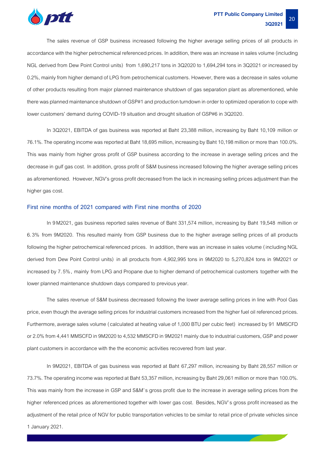

The sales revenue of GSP business increased following the higher average selling prices of all products in accordance with the higher petrochemical referenced prices. In addition, there was an increase in sales volume (including NGL derived from Dew Point Control units) from 1,690,217 tons in 3Q2020 to 1,694,294 tons in 3Q2021 or increased by 0.2%, mainly from higher demand of LPG from petrochemical customers. However, there was a decrease in sales volume of other products resulting from major planned maintenance shutdown of gas separation plant as aforementioned, while there was planned maintenance shutdown of GSP#1 and production turndown in order to optimized operation to cope with lower customers' demand during COVID-19 situation and drought situation of GSP#6 in 3Q2020.

In 3Q2021, EBITDA of gas business was reported at Baht 23,388 million, increasing by Baht 10,109 million or 76.1%. The operating income was reported at Baht18,695 million, increasing by Baht 10,198 million or more than 100.0%. This was mainly from higher gross profit of GSP business according to the increase in average selling prices and the decrease in gulf gas cost. In addition, gross profit of S&M business increased following the higher average selling prices as aforementioned. However, NGV's gross profit decreased from the lack in increasing selling prices adjustment than the higher gas cost.

#### **First nine months of 2021 compared with First nine months of 2020**

In 9M2021, gas business reported sales revenue of Baht 331,574 million, increasing by Baht 19,548 million or 6.3% from 9M2020. This resulted mainly from GSP business due to the higher average selling prices of all products following the higher petrochemical referenced prices. In addition, there was an increase in sales volume (including NGL derived from Dew Point Control units) in all products from 4,902,995 tons in 9M2020 to 5,270,824 tons in 9M2021 or increased by 7.5%, mainly from LPG and Propane due to higher demand of petrochemical customers together with the lower planned maintenance shutdown days compared to previous year.

The sales revenue of S&M business decreased following the lower average selling prices in line with Pool Gas price, even though the average selling prices for industrial customers increased from the higher fuel oil referenced prices. Furthermore, average sales volume (calculated at heating value of 1,000 BTU per cubic feet) increased by 91 MMSCFD or 2.0% from 4,441 MMSCFD in 9M2020 to 4,532 MMSCFD in 9M2021 mainly due to industrial customers, GSP and power plant customers in accordance with the the economic activities recovered from last year.

In 9M2021, EBITDA of gas business was reported at Baht 67,297 million, increasing by Baht 28,557 million or 73.7%. The operating income was reported at Baht53,357 million, increasing by Baht 29,061 million or more than 100.0%. This was mainly from the increase in GSP and S&M's gross profit due to the increase in average selling prices from the higher referenced prices as aforementioned together with lower gas cost. Besides, NGV's gross profit increased as the adjustment of the retail price of NGV for public transportation vehicles to be similar to retail price of private vehicles since 1 January 2021.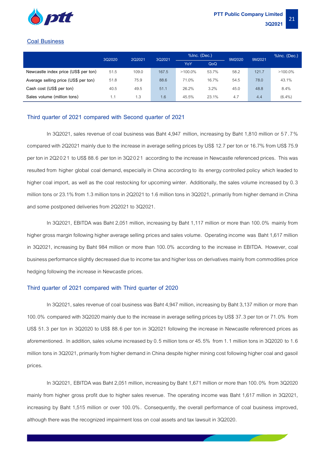

#### **Coal Business**

|                                      |      | 2Q2021<br>3Q2020 |        | %Inc. (Dec.) |       | 9M2020 | 9M2021 | %Inc. (Dec.) |
|--------------------------------------|------|------------------|--------|--------------|-------|--------|--------|--------------|
|                                      |      |                  | 3Q2021 | YoY          | QoQ   |        |        |              |
| Newcastle index price (US\$ per ton) | 51.5 | 109.0            | 167.5  | $>100.0\%$   | 53.7% | 58.2   | 121.7  | $>100.0\%$   |
| Average selling price (US\$ per ton) | 51.8 | 75.9             | 88.6   | 71.0%        | 16.7% | 54.5   | 78.0   | 43.1%        |
| Cash cost (US\$ per ton)             | 40.5 | 49.5             | 51.1   | 26.2%        | 3.2%  | 45.0   | 48.8   | 8.4%         |
| Sales volume (million tons)          | 1.1  | 1.3              | 1.6    | 45.5%        | 23.1% | 4.7    | 4.4    | $(6.4\%)$    |

#### **Third quarter of 2021 compared with Second quarter of 2021**

In 3Q2021, sales revenue of coal business was Baht 4,947 million, increasing by Baht 1,810 million or 57.7% compared with 2Q2021 mainly due to the increase in average selling prices by US\$ 12.7 per ton or 16.7% from US\$ 75.9 per ton in 2Q2021 to US\$ 88.6 per ton in 3Q2021 according to the increase in Newcastle referenced prices. This was resulted from higher global coal demand, especially in China according to its energy controlled policy which leaded to higher coal import, as well as the coal restocking for upcoming winter. Additionally, the sales volume increased by 0.3 million tons or 23.1% from 1.3 million tons in 2Q2021 to 1.6 million tons in 3Q2021, primarily from higher demand in China and some postponed deliveries from 2Q2021 to 3Q2021.

In 3Q2021, EBITDA was Baht 2,051 million, increasing by Baht 1,117 million or more than 100.0% mainly from higher gross margin following higher average selling prices and sales volume. Operating income was Baht 1,617 million in 3Q2021, increasing by Baht 984 million or more than 100.0% according to the increase in EBITDA. However, coal business performance slightly decreased due to incometaxand higher loss on derivatives mainly from commodities price hedging following the increase in Newcastle prices.

#### **Third quarter of 2021 compared with Third quarter of 2020**

In 3Q2021, sales revenue of coal business was Baht 4,947 million, increasing by Baht 3,137 million or more than 100.0% compared with 3Q2020 mainly due to the increase in average selling prices by US\$ 37.3 per ton or 71.0% from US\$ 51.3 per ton in 3Q2020 to US\$ 88.6 per ton in 3Q2021 following the increase in Newcastle referenced prices as aforementioned. In addition, sales volume increased by 0.5 million tons or 45.5% from 1.1 million tons in 3Q2020 to 1.6 million tons in 3Q2021, primarily from higher demand in China despite higher mining cost following higher coal and gasoil prices.

In 3Q2021, EBITDA was Baht 2,051 million, increasing by Baht 1,671 million or more than 100.0% from 3Q2020 mainly from higher gross profit due to higher sales revenue. The operating income was Baht 1,617 million in 3Q2021, increasing by Baht 1,515 million or over 100.0%. Consequently, the overall performance of coal business improved, although there was the recognized impairment loss on coal assetsand tax lawsuit in 3Q2020.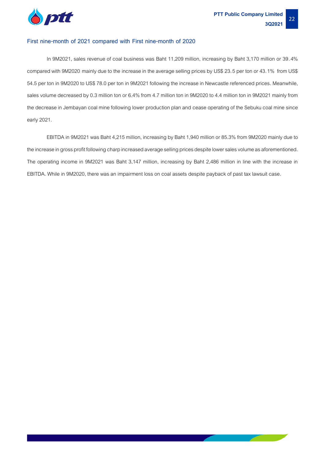

#### **First nine-month of 2021 compared with First nine-month of 2020**

In 9M2021, sales revenue of coal business was Baht 11,209 million, increasing by Baht 3,170 million or 39.4% compared with 9M2020 mainly due to the increase in the average selling prices by US\$ 23.5 per ton or 43.1% from US\$ 54.5 per ton in 9M2020 to US\$ 78.0 per ton in 9M2021 following the increase in Newcastle referenced prices. Meanwhile, sales volume decreased by 0.3 million ton or 6.4% from 4.7 million ton in 9M2020 to 4.4 million ton in 9M2021 mainly from the decrease in Jembayan coal mine following lower production plan and cease operating of the Sebuku coal mine since early 2021.

EBITDA in 9M2021 was Baht 4,215 million, increasing by Baht 1,940 million or 85.3% from 9M2020 mainly due to the increase in gross profit following charp increased average selling prices despite lower sales volume as aforementioned. The operating income in 9M2021 was Baht 3,147 million, increasing by Baht 2,486 million in line with the increase in EBITDA. While in 9M2020, there was an impairment loss on coal assets despite payback of past tax lawsuit case.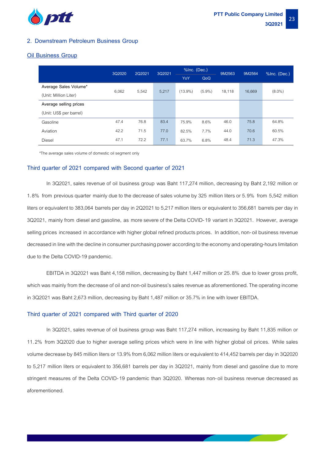

#### **2. Downstream Petroleum Business Group**

#### **Oil Business Group**

|                         | 3Q2020 | %Inc. (Dec.)<br>2Q2021<br>3Q2021<br>9M2563 |       | 9M2564     | %Inc. (Dec.) |        |        |           |  |
|-------------------------|--------|--------------------------------------------|-------|------------|--------------|--------|--------|-----------|--|
|                         |        |                                            |       | YoY        | QoQ          |        |        |           |  |
| Average Sales Volume*   |        |                                            |       | $(13.9\%)$ | $(5.9\%)$    | 18,118 |        |           |  |
| (Unit: Million Liter)   | 6,062  | 5,542                                      | 5,217 |            |              |        | 16,669 | $(8.0\%)$ |  |
| Average selling prices  |        |                                            |       |            |              |        |        |           |  |
| (Unit: US\$ per barrel) |        |                                            |       |            |              |        |        |           |  |
| Gasoline                | 47.4   | 76.8                                       | 83.4  | 75.9%      | 8.6%         | 46.0   | 75.8   | 64.8%     |  |
| Aviation                | 42.2   | 71.5                                       | 77.0  | 82.5%      | 7.7%         | 44.0   | 70.6   | 60.5%     |  |
| Diesel                  | 47.1   | 72.2                                       | 77.1  | 63.7%      | 6.8%         | 48.4   | 71.3   | 47.3%     |  |

\*The average sales volume of domestic oil segment only

#### **Third quarter of 2021 compared with Second quarter of 2021**

In 3Q2021, sales revenue of oil business group was Baht 117,274 million, decreasing by Baht 2,192 million or 1.8% from previous quarter mainly due tothe decrease of sales volume by 325 million liters or 5.9% from 5,542 million liters or equivalent to 383,064 barrels per day in 2Q2021 to 5,217 million liters or equivalent to 356,681 barrels per day in 3Q2021, mainly from diesel and gasoline, as more severe of the Delta COVID-19 variant in 3Q2021. However, average selling prices increased in accordance with higher global refined products prices. In addition, non-oil business revenue decreased in line with the decline in consumer purchasing power according to the economy and operating-hours limitation due to the Delta COVID-19 pandemic.

EBITDA in 3Q2021 was Baht 4,158 million, decreasing by Baht 1,447 million or 25.8% due to lower gross profit, which was mainly from the decrease of oil and non-oil business's sales revenue as aforementioned. The operating income in 3Q2021 was Baht 2,673 million, decreasing by Baht 1,487 million or 35.7% in line with lower EBITDA.

#### **Third quarter of 2021 compared with Third quarter of 2020**

In 3Q2021, sales revenue of oil business group was Baht 117,274 million, increasing by Baht 11,835 million or 11.2% from 3Q2020 due to higher average selling prices which were in line with higher global oil prices. While sales volume decrease by 845 million liters or 13.9% from 6,062 million liters or equivalent to 414,452 barrels per day in3Q2020 to 5,217 million liters or equivalent to 356,681 barrels per day in 3Q2021, mainly from diesel and gasoline due to more stringent measures of the Delta COVID-19 pandemic than 3Q2020. Whereas non-oil business revenue decreased as aforementioned.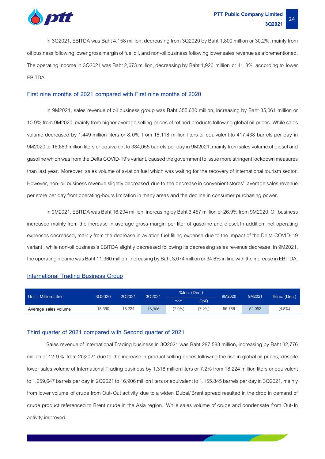

In 3Q2021, EBITDA was Baht 4,158 million, decreasing from 3Q2020 by Baht 1,800 million or 30.2%, mainly from oil business following lower gross margin of fuel oil, and non-oil businessfollowing lower sales revenue as aforementioned. The operating income in 3Q2021 was Baht 2,673 million, decreasing by Baht 1,920 million or 41.8% according to lower EBITDA.

#### **First nine months of 2021 compared with First nine months of 2020**

In 9M2021, sales revenue of oil business group was Baht 355,630 million, increasing by Baht 35,061 million or 10.9% from 9M2020, mainly from higher average selling prices of refined products following global oil prices. While sales volume decreased by 1,449 million liters or 8.0% from 18,118 million liters or equivalent to 417,438 barrels per day in 9M2020 to 16,669 million liters or equivalent to 384,055 barrels per day in 9M2021, mainly fromsales volume of diesel and gasoline which was from the Delta COVID-19's variant, caused the government to issue more stringent lockdown measures than last year. Moreover, sales volume of aviation fuel which was waiting for the recovery of international tourism sector. However, non-oil business revenue slightly decreased due to the decrease in convenient stores' average sales revenue per store per day from operating-hours limitation in many areasand the decline in consumer purchasing power.

In 9M2021, EBITDA was Baht 16,294million, increasing by Baht 3,457 million or 26.9% from 9M2020.Oil business increased mainly from the increase in average gross margin per liter of gasoline and diesel. In addition, net operating expenses decreased, mainly from the decrease in aviation fuel filling expense due to the impact of the Delta COVID-19 variant , while non-oil business's EBITDA slightly decreased following its decreasing sales revenue decrease. In 9M2021, the operating income was Baht 11,960 million, increasing by Baht 3,074 million or 34.6% in line with the increase in EBITDA.

#### **International Trading Business Group**

| Unit: Million Litre  | 3Q2020 | 202021 | 3Q2021 | $%$ Inc. (Dec.) |           | 9M2020 | 9M2021 | $%$ Inc. (Dec.) |
|----------------------|--------|--------|--------|-----------------|-----------|--------|--------|-----------------|
|                      |        |        |        | YoY             | QoQ       |        |        |                 |
| Average sales volume | 18.360 | 18,224 | 16,906 | $7.9\%$         | $(7.2\%)$ | 56,786 | 54,052 | $(4.8\%)$       |

#### **Third quarter of 2021 compared with Second quarter of 2021**

Sales revenue of International Trading business in 3Q2021 was Baht 287,583 million, increasing by Baht 32,776 million or 12.9% from 2Q2021 due to the increase in product selling prices following the rise in global oil prices, despite lower sales volume of International Trading business by 1,318 million liters or 7.2% from 18,224 million liters or equivalent to 1,259,647 barrels per day in 2Q2021 to 16,906 million liters or equivalent to 1,155,845 barrels per day in 3Q2021, mainly from lower volume of crude from Out-Out activity due to a widen Dubai/Brent spread resulted in the drop in demand of crude product referenced to Brent crude in the Asia region. While sales volume of crude and condensate from Out-In activity improved.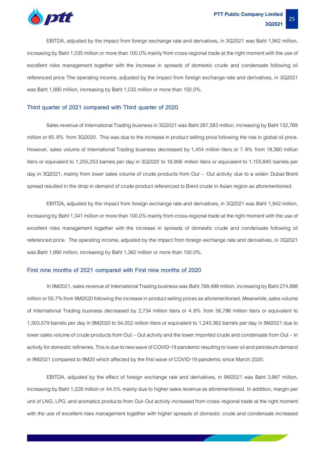

EBITDA, adjusted by the impact from foreign exchange rate and derivatives, in 3Q2021 was Baht 1,942 million, increasing by Baht 1,035 million or more than 100.0% mainly from cross-regional trade at the right moment with the use of excellent risks management together with the increase in spreads of domestic crude and condensate following oil referenced price The operating income, adjusted by the impact from foreign exchange rate and derivatives, in 3Q2021 was Baht 1,890 million, increasing by Baht 1,032 million or more than 100.0%.

#### **Third quarter of 2021 compared with Third quarter of 2020**

Sales revenue of International Trading business in 3Q2021 was Baht 287,583 million, increasing by Baht 132,769 million or 85.8% from 3Q2020. This was due to the increase in product selling price following the rise in global oil price. However, sales volume of International Trading business decreased by 1,454 million liters or 7.9% from 18,360 million liters or equivalent to 1,255,253 barrels per day in 3Q2020 to 16,906 million liters or equivalent to 1,155,845 barrels per day in 3Q2021, mainly from lower sales volume of crude products from Out – Out activity due to a widen Dubai/Brent spread resulted in the drop in demand of crude product referenced to Brent crude in Asian region as aforementioned.

EBITDA, adjusted by the impact from foreign exchange rate and derivatives, in 3Q2021 was Baht 1,942 million, increasing by Baht 1,341 million or more than 100.0% mainly from cross-regional trade at the right moment with the use of excellent risks management together with the increase in spreads of domestic crude and condensate following oil referenced price. The operating income, adjusted by the impact from foreign exchange rate and derivatives, in 3Q2021 was Baht 1,890 million, increasing by Baht 1,362 million or more than 100.0%.

#### **First nine months of 2021 compared with First nine months of 2020**

In 9M2021, sales revenue of International Trading business was Baht 768,488 million, increasing by Baht 274,888 million or 55.7% from 9M2020 following the increase in product selling prices as aforementioned. Meanwhile, sales volume of International Trading business decreased by 2,734 million liters or 4.8% from 56,786 million liters or equivalent to 1,303,579 barrels per day in 9M2020 to 54,052 million liters or equivalent to 1,245,362 barrels per day in 9M2021 due to lower sales volume of crude products from Out – Out activity and the lower imported crude and condensate from Out – In activity for domestic refineries. This is due to new wave of COVID-19 pandemic resulting to lower oil and petroleum demand in 9M2021 compared to 9M20 which affected by the first wave of COVID-19 pandemic since March 2020.

EBITDA, adjusted by the effect of foreign exchange rate and derivatives, in 9M2021 was Baht 3,987 million, increasing by Baht 1,228 million or 44.5% mainly due to higher sales revenue as aforementioned. In addition, margin per unit of LNG, LPG, and aromatics products from Out-Out activity increased from cross-regional trade at the right moment with the use of excellent risks management together with higher spreads of domestic crude and condensate increased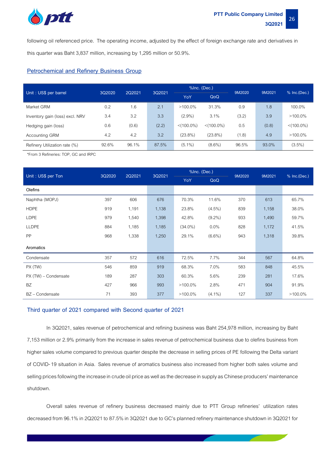

following oil referenced price. The operating income, adjusted by the effect of foreign exchange rate and derivatives in this quarter was Baht 3,837 million, increasing by 1,295 million or 50.9%.

#### **Petrochemical and Refinery Business Group**

| Unit: US\$ per barrel           | 3Q2020 | 2Q2021 | 3Q2021 |               | %Inc. (Dec.)  | 9M2020 | 9M2021 | $%$ Inc.(Dec.) |
|---------------------------------|--------|--------|--------|---------------|---------------|--------|--------|----------------|
|                                 |        |        |        | YoY           | QoQ           |        |        |                |
| Market GRM                      | 0.2    | 1.6    | 2.1    | $>100.0\%$    | 31.3%         | 0.9    | 1.8    | 100.0%         |
| Inventory gain (loss) excl. NRV | 3.4    | 3.2    | 3.3    | $(2.9\%)$     | 3.1%          | (3.2)  | 3.9    | $>100.0\%$     |
| Hedging gain (loss)             | 0.6    | (0.6)  | (2.2)  | $< (100.0\%)$ | $< (100.0\%)$ | 0.5    | (0.8)  | $< (100.0\%)$  |
| Accounting GRM                  | 4.2    | 4.2    | 3.2    | $(23.8\%)$    | $(23.8\%)$    | (1.8)  | 4.9    | $>100.0\%$     |
| Refinery Utilization rate (%)   | 92.6%  | 96.1%  | 87.5%  | $(5.1\%)$     | $(8.6\%)$     | 96.5%  | 93.0%  | $(3.5\%)$      |

\*From 3 Refineries: TOP, GC and IRPC

| Unit: US\$ per Ton   | 3Q2020 | 2Q2021 | 3Q2021 | %Inc. (Dec.) |           | 9M2020<br>9M2021<br>370<br>613<br>839<br>1,158 | % Inc.(Dec.) |            |
|----------------------|--------|--------|--------|--------------|-----------|------------------------------------------------|--------------|------------|
|                      |        |        |        | YoY          | QoQ       |                                                |              |            |
| Olefins              |        |        |        |              |           |                                                |              |            |
| Naphtha (MOPJ)       | 397    | 606    | 676    | 70.3%        | 11.6%     |                                                |              | 65.7%      |
| <b>HDPE</b>          | 919    | 1,191  | 1,138  | 23.8%        | $(4.5\%)$ |                                                |              | 38.0%      |
| <b>LDPE</b>          | 979    | 1,540  | 1,398  | 42.8%        | $(9.2\%)$ | 933                                            | 1,490        | 59.7%      |
| <b>LLDPE</b>         | 884    | 1,185  | 1,185  | $(34.0\%)$   | 0.0%      | 828                                            | 1,172        | 41.5%      |
| PP                   | 968    | 1,338  | 1,250  | 29.1%        | $(6.6\%)$ | 943                                            | 1,318        | 39.8%      |
| Aromatics            |        |        |        |              |           |                                                |              |            |
| Condensate           | 357    | 572    | 616    | 72.5%        | 7.7%      | 344                                            | 567          | 64.8%      |
| PX (TW)              | 546    | 859    | 919    | 68.3%        | 7.0%      | 583                                            | 848          | 45.5%      |
| PX (TW) – Condensate | 189    | 287    | 303    | 60.3%        | 5.6%      | 239                                            | 281          | 17.6%      |
| <b>BZ</b>            | 427    | 966    | 993    | $>100.0\%$   | 2.8%      | 471                                            | 904          | 91.9%      |
| BZ - Condensate      | 71     | 393    | 377    | $>100.0\%$   | $(4.1\%)$ | 127                                            | 337          | $>100.0\%$ |

#### **Third quarter of 2021 compared with Second quarter of 2021**

In 3Q2021, sales revenue of petrochemical and refining business was Baht 254,978 million, increasing by Baht 7,153 million or 2.9% primarily from the increase in sales revenue of petrochemical business due to olefins business from higher sales volume compared to previous quarter despite the decrease in selling prices of PE following the Delta variant of COVID-19 situation in Asia. Sales revenue of aromatics business also increased from higher both sales volume and selling prices following the increase in crude oil price as well as the decrease in supply as Chinese producers' maintenance shutdown.

Overall sales revenue of refinery business decreased mainly due to PTT Group refineries' utilization rates decreased from 96.1% in 2Q2021 to 87.5% in 3Q2021 due to GC's planned refinery maintenance shutdown in 3Q2021 for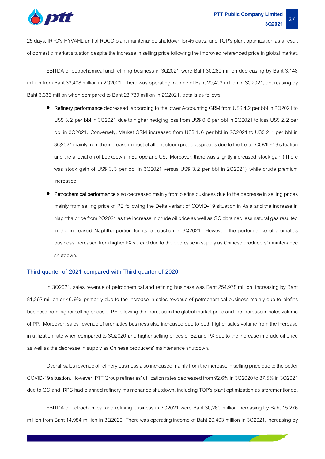

25 days, IRPC's HYVAHL unit of RDCC plant maintenance shutdown for45 days, and TOP's plant optimization as a result of domestic market situation despite the increase in selling price following the improved referenced price in global market.

EBITDA of petrochemical and refining business in 3Q2021 were Baht 30,260 million decreasing by Baht 3,148 million from Baht 33,408 million in 2Q2021. There was operating income of Baht 20,403 million in 3Q2021, decreasing by Baht 3,336 million when compared to Baht 23,739 million in 2Q2021, details as follows:

- **Refinery performance** decreased, according tothe lower Accounting GRM from US\$ 4.2 per bbl in 2Q2021 to US\$ 3.2 per bbl in 3Q2021 due to higher hedging loss from US\$ 0.6 per bbl in 2Q2021 to loss US\$ 2.2 per bbl in 3Q2021. Conversely, Market GRM increased from US\$ 1.6 per bbl in 2Q2021 to US\$ 2.1 per bbl in 3Q2021 mainly from the increase in most of all petroleum product spreads due to the better COVID-19 situation and the alleviation of Lockdown in Europe and US. Moreover, there was slightly increased stock gain (There was stock gain of US\$ 3.3 per bbl in 3Q2021 versus US\$ 3.2 per bbl in 2Q2021) while crude premium increased.
- **Petrochemical performance**also decreased mainly from olefins business due to the decrease in selling prices mainly from selling price of PE following the Delta variant of COVID-19 situation in Asia and the increase in Naphtha price from 2Q2021 as the increase in crude oil price as well as GC obtained less natural gas resulted in the increased Naphtha portion for its production in 3Q2021. However, the performance of aromatics business increased from higher PX spread due to the decrease in supply as Chinese producers' maintenance shutdown**.**

#### **Third quarter of 2021 compared with Third quarter of 2020**

In 3Q2021, sales revenue of petrochemical and refining business was Baht 254,978 million, increasing by Baht 81,362 million or 46.9% primarily due to the increase in sales revenue of petrochemical business mainly due to olefins business from higher selling prices of PE following the increase in the global market price and the increase in sales volume of PP. Moreover, sales revenue of aromatics business also increased due to both higher sales volume from the increase in utilization rate when compared to 3Q2020 and higher selling prices of BZ and PX due to the increase in crude oil price as well as the decrease in supply as Chinese producers' maintenance shutdown.

Overall sales revenue of refinery business also increased mainly from the increase in selling price due to the better COVID-19 situation. However, PTT Group refineries' utilization rates decreased from 92.6% in 3Q2020 to 87.5% in 3Q2021 due to GC and IRPC had planned refinery maintenance shutdown, including TOP's plant optimization as aforementioned.

EBITDA of petrochemical and refining business in 3Q2021 were Baht 30,260 million increasing by Baht 15,276 million from Baht 14,984 million in 3Q2020. There was operating income of Baht 20,403 million in 3Q2021, increasing by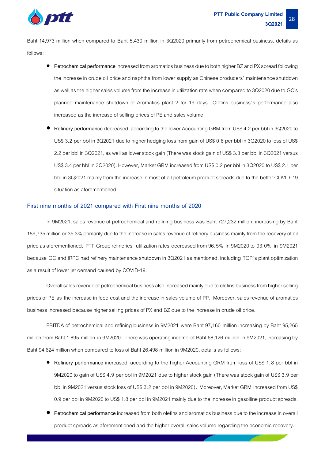

Baht 14,973 million when compared to Baht 5,430 million in 3Q2020 primarily from petrochemical business, details as follows:

- **Petrochemical performance**increased from aromatics business due to both higher BZ and PX spread following the increase in crude oil price and naphtha from lower supply as Chinese producers' maintenance shutdown as well as the higher sales volume from the increase in utilization rate when compared to 3Q2020 due to GC's planned maintenance shutdown of Aromatics plant 2 for 19 days. Olefins business's performance also increased as the increase of selling prices of PE and sales volume.
- Refinery performance decreased, according to the lower Accounting GRM from US\$ 4.2 per bbl in 3Q2020 to US\$ 3.2 per bbl in 3Q2021 due to higher hedging loss from gain of US\$ 0.6 per bbl in 3Q2020 to loss of US\$ 2.2 per bbl in 3Q2021, as well as lower stock gain (There was stock gain of US\$ 3.3 per bbl in 3Q2021 versus US\$ 3.4 per bbl in 3Q2020). However, Market GRM increased from US\$ 0.2 per bbl in 3Q2020 to US\$ 2.1 per bbl in 3Q2021 mainly from the increase in most of all petroleum product spreads due to the better COVID-19 situation as aforementioned.

#### **First nine months of 2021 compared with First nine months of 2020**

In 9M2021, sales revenue of petrochemical and refining business was Baht 727,232 million, increasing by Baht 189,735 million or 35.3% primarily due to the increase in sales revenue of refinery business mainly from the recovery of oil price as aforementioned. PTT Group refineries' utilization rates decreased from 96.5% in 9M2020 to 93.0% in 9M2021 because GC and IRPC had refinery maintenance shutdown in 3Q2021 as mentioned, including TOP's plant optimization as a result of lower jet demand caused by COVID-19.

Overall sales revenue of petrochemical business also increased mainly due to olefins business from higher selling prices of PE as the increase in feed cost and the increase in sales volume of PP. Moreover, sales revenue of aromatics business increased because higher selling prices of PX and BZ due to the increase in crude oil price.

EBITDA of petrochemical and refining business in 9M2021 were Baht 97,160 million increasing by Baht 95,265 million from Baht 1,895 million in 9M2020. There was operating income of Baht 68,126 million in 9M2021, increasing by Baht 94,624 million when compared to loss of Baht 26,498 million in 9M2020, details as follows:

- **Refinery performance** increased, according to the higher Accounting GRM from loss of US\$ 1.8 per bbl in 9M2020 to gain of US\$ 4.9 per bbl in 9M2021 due to higher stock gain (There was stock gain of US\$ 3.9 per bbl in 9M2021 versus stock loss of US\$ 3.2 per bbl in 9M2020). Moreover, Market GRM increased from US\$ 0.9 per bbl in 9M2020 to US\$ 1.8 per bbl in 9M2021 mainly due to the increase in gasoiline product spreads.
- **Petrochemical performance**increased from both olefins and aromatics business due to the increase in overall product spreads as aforementioned and the higher overall sales volume regarding the economic recovery.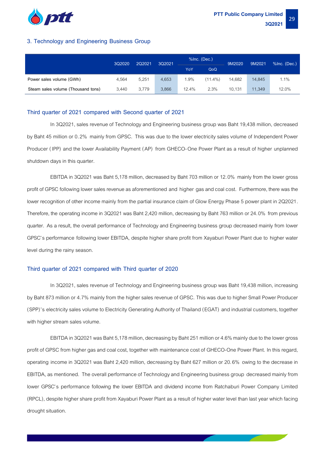

#### **3. Technology and Engineering Business Group**

|                                    | 3Q2020 | 2Q2021 | 3Q2021 | %Inc. (Dec.) |            | 9M2020 | 9M2021 | %Inc. (Dec.) |
|------------------------------------|--------|--------|--------|--------------|------------|--------|--------|--------------|
|                                    |        |        |        | YoY          | QoQ        |        |        |              |
| Power sales volume (GWh)           | 4.564  | 5,251  | 4,653  | 1.9%         | $(11.4\%)$ | 14.682 | 14,845 | $1.1\%$      |
| Steam sales volume (Thousand tons) | 3.440  | 3.779  | 3,866  | 12.4%        | 2.3%       | 10.131 | 11,349 | 12.0%        |

#### **Third quarter of 2021 compared with Second quarter of 2021**

In 3Q2021, sales revenue of Technology and Engineering business group was Baht 19,438 million, decreased by Baht 45 million or 0.2% mainly from GPSC. This was due to the lower electricity sales volume of Independent Power Producer (IPP) and the lower Availability Payment (AP) from GHECO-One Power Plant as a result of higher unplanned shutdown days in this quarter.

EBITDA in 3Q2021 was Baht 5,178 million, decreased by Baht 703 million or 12.0% mainly from the lower gross profit of GPSC following lower sales revenue as aforementioned and higher gas and coal cost. Furthermore, there was the lower recognition of other income mainly from the partial insurance claim of Glow Energy Phase 5 power plant in 2Q2021. Therefore, the operating income in 3Q2021 was Baht 2,420 million, decreasing by Baht 763 million or 24.0% from previous quarter. As a result, the overall performance of Technology and Engineering business group decreased mainly from lower GPSC's performance following lower EBITDA, despite higher share profit from Xayaburi Power Plant due to higher water level during the rainy season.

#### **Third quarter of 2021 compared with Third quarter of 2020**

In 3Q2021, sales revenue of Technology and Engineering business group was Baht 19,438 million, increasing by Baht 873 million or 4.7% mainly from the higher sales revenue of GPSC. This was due to higher Small Power Producer (SPP)'s electricity sales volume to Electricity Generating Authority of Thailand (EGAT) and industrial customers, together with higher stream sales volume.

EBITDA in 3Q2021 was Baht 5,178 million, decreasing by Baht 251 million or 4.6% mainly due to the lower gross profit of GPSC from higher gas and coal cost, together with maintenance cost of GHECO-One Power Plant. In this regard, operating income in 3Q2021 was Baht 2,420 million, decreasing by Baht 627 million or 20.6% owing to the decrease in EBITDA, as mentioned. The overall performance of Technology and Engineering business group decreased mainly from lower GPSC's performance following the lower EBITDA and dividend income from Ratchaburi Power Company Limited (RPCL), despite higher share profit from Xayaburi Power Plant as a result of higher water level than last year which facing drought situation.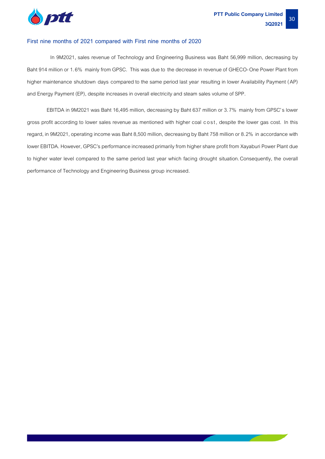

#### **First nine months of 2021 compared with First nine months of 2020**

In 9M2021, sales revenue of Technology and Engineering Business was Baht 56,999 million, decreasing by Baht 914 million or 1.6% mainly from GPSC. This was due to the decrease in revenue of GHECO-One Power Plant from higher maintenance shutdown days compared to the same period last year resulting in lower Availability Payment (AP) and Energy Payment (EP), despite increases in overall electricity and steam sales volume of SPP.

EBITDA in 9M2021 was Baht 16,495 million, decreasing by Baht 637 million or 3.7% mainly from GPSC's lower gross profit according to lower sales revenue as mentioned with higher coal cost, despite the lower gas cost. In this regard, in 9M2021, operating income was Baht 8,500 million, decreasing by Baht 758 million or 8.2% in accordance with lower EBITDA. However, GPSC's performance increased primarily from higher share profit from Xayaburi Power Plant due to higher water level compared to the same period last year which facing drought situation.Consequently, the overall performance of Technology and Engineering Business group increased.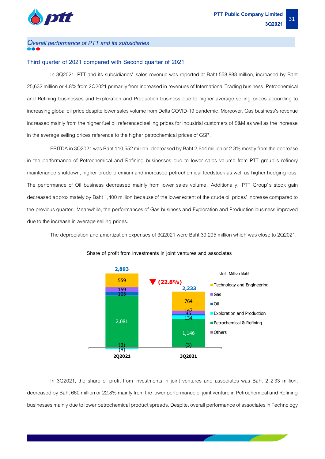

#### *Overall performance of PTT and its subsidiaries*

#### **Third quarter of 2021 compared with Second quarter of 2021**

In 3Q2021, PTT and its subsidiaries' sales revenue was reported at Baht 558,888 million, increased by Baht 25,632 million or 4.8% from 2Q2021 primarily from increased in revenues of International Trading business, Petrochemical and Refining businesses and Exploration and Production business due to higher average selling prices according to increasing global oil price despite lower sales volume from Delta COVID-19 pandemic. Moreover, Gas business's revenue increased mainly from the higher fuel oil referenced selling prices for industrial customers of S&M as well as the increase in the average selling prices reference to the higher petrochemical prices of GSP.

EBITDA in 3Q2021 was Baht 110,552 million, decreased by Baht 2,644 million or2.3% mostly from the decrease in the performance of Petrochemical and Refining businesses due to lower sales volume from PTT group's refinery maintenance shutdown, higher crude premium and increased petrochemical feedstock as well as higher hedging loss. The performance of Oil business decreased mainly from lower sales volume. Additionally. PTT Group's stock gain decreased approximately by Baht 1,400 million becauseof the lower extent of the crude oil prices' increase compared to the previous quarter. Meanwhile, the performances of Gas business and Exploration and Production business improved due to the increase in average selling prices.

The depreciation and amortization expenses of 3Q2021 were Baht 39,295 million which was close to 2Q2021.



#### **Share of profit from investments in joint ventures and associates**

In 3Q2021, the share of profit from investments in joint ventures and associates was Baht 2,233 million, decreased by Baht 660 million or 22.8% mainly from the lower performance of joint venture in Petrochemical and Refining businesses mainly due to lower petrochemical product spreads. Despite, overall performance of associates in Technology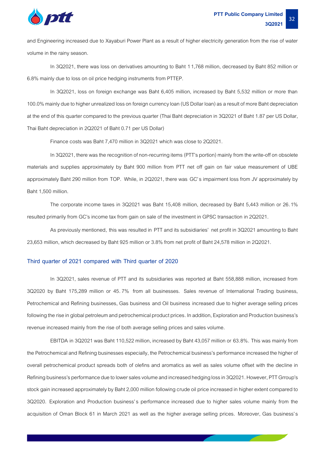

and Engineering increased due to Xayaburi Power Plant as a result of higher electricity generation from the rise of water volume in the rainy season.

In 3Q2021, there was loss on derivatives amounting to Baht 11,768 million, decreased by Baht 852 million or 6.8% mainly due to loss on oil price hedging instruments from PTTEP.

In 3Q2021, loss on foreign exchange was Baht 6,405 million, increased by Baht 5,532 million or more than 100.0% mainly due to higher unrealized loss on foreign currency loan (US Dollar loan) as a result of more Baht depreciation at the end of this quarter compared to the previous quarter (Thai Baht depreciation in 3Q2021 of Baht 1.87 per US Dollar, Thai Baht depreciation in 2Q2021 of Baht 0.71 per US Dollar)

Finance costs was Baht 7,470 million in 3Q2021 which was close to 2Q2021.

In 3Q2021, there was the recognition of non-recurring items (PTT's portion) mainly from the write-off on obsolete materials and supplies approximately by Baht 900 million from PTT net off gain on fair value measurement of UBE approximately Baht 290 million from TOP. While, in 2Q2021, there was GC's impairment loss from JV approximately by Baht 1,500 million.

The corporate income taxes in 3Q2021 was Baht 15,408 million, decreased by Baht 5,443 million or 26.1% resulted primarily from GC's income tax from gain on sale of the investment in GPSC transaction in 2Q2021.

As previously mentioned, this was resulted in PTT and its subsidiaries' net profit in 3Q2021 amounting to Baht 23,653 million, which decreased by Baht 925 million or 3.8% from net profitof Baht 24,578 million in 2Q2021.

#### **Third quarter of 2021 compared with Third quarter of 2020**

In 3Q2021, sales revenue of PTT and its subsidiaries was reported at Baht 558,888 million, increased from 3Q2020 by Baht 175,289 million or 45.7% from all businesses. Sales revenue of International Trading business, Petrochemical and Refining businesses, Gas business and Oil business increased due to higher average selling prices following the rise in global petroleum and petrochemical product prices. In addition, Exploration and Production business's revenue increased mainly from the rise of both average selling prices and sales volume.

EBITDA in 3Q2021 was Baht 110,522 million, increased by Baht 43,057 million or 63.8%. This was mainly from the Petrochemical and Refining businesses especially, the Petrochemical business's performance increased the higher of overall petrochemical product spreads both of olefins and aromatics as well as sales volume offset with the decline in Refining business's performance due tolower sales volume and increased hedging loss in 3Q2021. However, PTT Grroup's stock gain increased approximately by Baht 2,000 million following crude oil price increased in higher extent compared to 3Q2020. Exploration and Production business's performance increased due to higher sales volume mainly from the acquisition of Oman Block 61 in March 2021 as well as the higher average selling prices. Moreover, Gas business's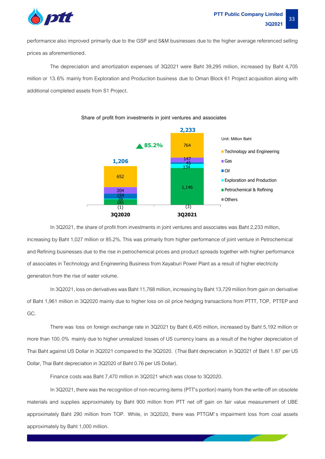

performance also improved primarily due to the GSP and S&M businesses due to the higher average referenced selling prices as aforementioned.

The depreciation and amortization expenses of 3Q2021 were Baht 39,295 million, increased by Baht 4,705 million or 13.6% mainly from Exploration and Production business due to Oman Block 61 Project acquisition along with additional completed assets from S1 Project.



**Share of profit from investments in joint ventures and associates**

In 3Q2021, the share of profit from investments in joint ventures and associates was Baht 2,233 million, increasing by Baht 1,027 million or 85.2%. This was primarily from higher performance of joint venture in Petrochemical and Refining businesses due to the rise in petrochemical prices and product spreads together with higher performance of associates in Technology and Engineering Business from Xayaburi Power Plant as a result of higher electricity generation from the rise of water volume.

In 3Q2021, loss on derivatives was Baht 11,768 million, increasing by Baht 13,729 million from gain on derivative of Baht 1,961 million in 3Q2020 mainly due to higher loss on oil price hedging transactions from PTTT, TOP, PTTEP and GC.

There was loss on foreign exchange rate in 3Q2021 by Baht 6,405 million, increased by Baht 5,192 million or more than 100.0% mainly due to higher unrealized losses of US currency loans as a result of the higher depreciation of Thai Baht against US Dollar in 3Q2021 compared to the 3Q2020. (Thai Baht depreciation in 3Q2021 of Baht 1.87 per US Dollar, Thai Baht depreciation in 3Q2020 of Baht 0.76 per US Dollar).

Finance costs was Baht 7,470 million in 3Q2021 which was close to 3Q2020.

In 3Q2021, there was the recognition of non-recurring items (PTT's portion) mainly from the write-off on obsolete materials and supplies approximately by Baht 900 million from PTT net off gain on fair value measurement of UBE approximately Baht 290 million from TOP. While, in 3Q2020, there was PTTGM's impairment loss from coal assets approximately by Baht 1,000 million.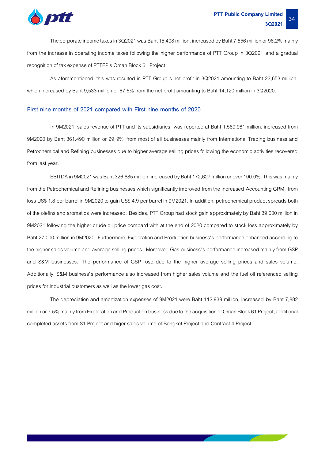

The corporate income taxes in 3Q2021 was Baht 15,408 million, increased by Baht 7,556 million or 96.2%mainly from the increase in operating income taxes following the higher performance of PTT Group in 3Q2021 and a gradual recognition of tax expense of PTTEP's Oman Block 61 Project.

As aforementioned, this was resulted in PTT Group's net profit in 3Q2021 amounting to Baht 23,653 million, which increased by Baht 9,533 million or 67.5% from the net profit amounting to Baht 14,120 million in 3Q2020.

#### **First nine months of 2021 compared with First nine months of 2020**

In 9M2021, sales revenue of PTT and its subsidiaries' was reported at Baht 1,569,981 million, increased from 9M2020 by Baht 361,490 million or 29.9% from most of all businesses mainly from International Trading business and Petrochemical and Refining businesses due to higher average selling prices following the economic activities recovered from last year.

EBITDA in 9M2021 was Baht 326,685 million, increased by Baht 172,627 million orover 100.0%. This was mainly from the Petrochemical and Refining businesses which significantly improved from the increased Accounting GRM, from loss US\$1.8 per barrel in 9M2020 to gain US\$4.9 per barrel in 9M2021. In addition, petrochemical product spreads both of the olefins and aromatics were increased. Besides, PTT Group had stock gain approximately by Baht 39,000 million in 9M2021 following the higher crude oil price compard with at the end of 2020 compared to stock loss approximately by Baht 27,000 million in 9M2020. Furthermore, Exploration and Production business's performance enhanced according to the higher sales volume and average selling prices. Moreover, Gas business's performance increased mainly from GSP and S&M businesses. The performance of GSP rose due to the higher average selling prices and sales volume. Additionally, S&M business's performance also increased from higher sales volume and the fuel oil referenced selling prices for industrial customers as well as the lower gas cost.

The depreciation and amortization expenses of 9M2021 were Baht 112,939 million, increased by Baht 7,882 million or 7.5% mainly from Exploration and Production business due to the acquisition of Oman Block 61 Project, additional completed assets from S1 Project and higer sales volume of Bongkot Project and Contract 4 Project.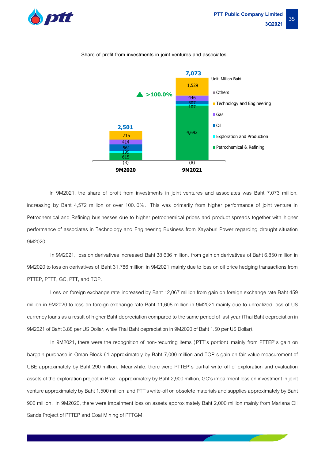



#### **Share of profit from investments in joint ventures and associates**

 In 9M2021, the share of profit from investments in joint ventures and associates was Baht 7,073 million, increasing by Baht 4,572 million or over 100.0% . This was primarily from higher performance of joint venture in Petrochemical and Refining businesses due to higher petrochemical prices and product spreads together with higher performance of associates in Technology and Engineering Business from Xayaburi Power regarding drought situation 9M2020.

In 9M2021, loss on derivatives increased Baht 38,636 million, from gain on derivatives of Baht 6,850 million in 9M2020 to loss on derivatives of Baht 31,786 million in 9M2021 mainly due to loss on oil price hedging transactions from PTTEP, PTTT, GC, PTT, and TOP.

Loss on foreign exchange rate increased by Baht 12,067 million from gain on foreign exchange rate Baht 459 million in 9M2020 to loss on foreign exchange rate Baht 11,608 million in 9M2021 mainly due to unrealized loss of US currency loans as a result of higher Baht depreciation compared to the same period of last year (Thai Baht depreciation in 9M2021 of Baht 3.88 per US Dollar, while Thai Baht depreciation in 9M2020 of Baht 1.50 per US Dollar).

In 9M2021, there were the recognition of non-recurring items (PTT's portion) mainly from PTTEP's gain on bargain purchase in Oman Block 61 approximately by Baht 7,000 million and TOP's gain on fair value measurement of UBE approximately by Baht 290 million. Meanwhile, there were PTTEP's partial write-off of exploration and evaluation assets of the exploration project in Brazil approximately by Baht 2,900 million, GC's impairment loss on investment in joint venture approximately by Baht 1,500 million, and PTT's write-off on obsolete materials and supplies approximately by Baht 900 million. In 9M2020, there were impairment loss on assets approximately Baht 2,000 million mainly from Mariana Oil Sands Project of PTTEP and Coal Mining of PTTGM.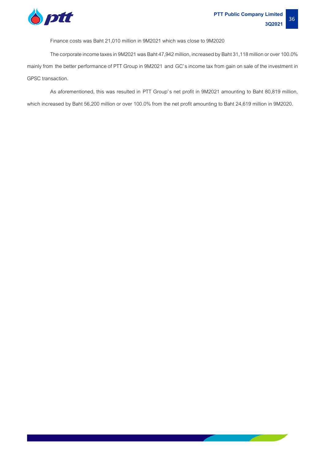

Finance costs was Baht 21,010 million in 9M2021 which was close to 9M2020

The corporate income taxes in 9M2021 was Baht 47,942 million, increased by Baht 31,118 million or over 100.0% mainly from the better performance of PTT Group in 9M2021 and GC's income tax from gain on sale of the investment in GPSC transaction.

As aforementioned, this was resulted in PTT Group's net profit in 9M2021 amounting to Baht 80,819 million,

which increased by Baht 56,200 million or over 100.0% from the net profit amounting to Baht 24,619 million in9M2020.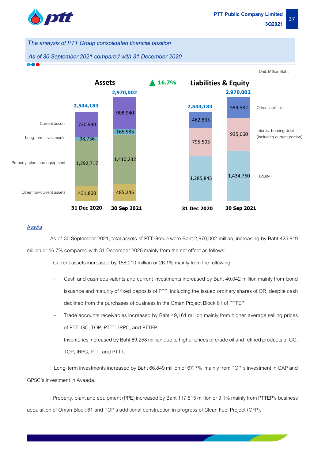

*The analysis of PTT Groupconsolidated financial position*

*As of30 September 2021 compared with 31 December 2020*



#### **Assets**

As of 30 September 2021, total assets of PTT Group were Baht 2,970,002 million, increasing by Baht 425,819 million or 16.7% compared with 31 December 2020 mainly from the net effect as follows:

: Current assets increased by 188,010 million or 26.1% mainly from the following:

- Cash and cash equivalents and current investments increased by Baht 40,042 million mainly from bond issuance and maturity of fixed deposits of PTT, including the issued ordinary shares of OR, despite cash declined from the purchases of business in the Oman Project Block 61 of PTTEP.
- Trade accounts receivables increased by Baht 49,161 million mainly from higher average selling prices of PTT, GC, TOP, PTTT, IRPC, and PTTEP.
- Inventories increased by Baht 69,258 million due to higher prices of crude oil and refined products of GC, TOP, IRPC, PTT, and PTTT.

: Long-term investments increased by Baht 66,849 million or 67.7% mainly from TOP's investment in CAP and GPSC's investment in Avaada.

: Property, plant and equipment (PPE) increased by Baht 117,515 million or 9.1% mainly from PTTEP's business acquisition of Oman Block 61 and TOP's additional construction in progress of Clean Fuel Project (CFP).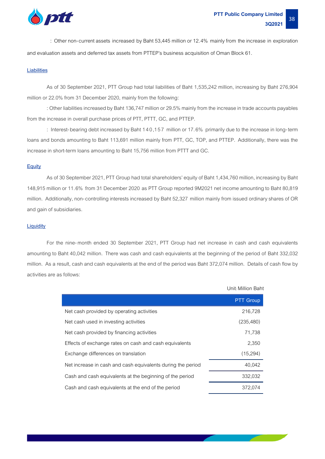

: Other non-current assets increased by Baht 53,445 million or 12.4% mainly from the increase in exploration and evaluation assets and deferred tax assets from PTTEP's business acquisition of Oman Block 61.

#### **Liabilities**

As of 30 September 2021, PTT Group had total liabilities of Baht 1,535,242 million, increasing by Baht 276,904 million or 22.0% from 31 December 2020, mainly from the following:

: Other liabilities increased by Baht 136,747 million or 29.5% mainly from the increase in trade accounts payables from the increase in overall purchase prices of PTT, PTTT, GC, and PTTEP.

: Interest-bearing debt increased by Baht 140,157 million or 17.6% primarily due to the increase in long-term loans and bonds amounting to Baht 113,691 million mainly from PTT, GC, TOP, and PTTEP. Additionally, there was the increase in short-term loans amounting to Baht 15,756 million from PTTT and GC.

#### **Equity**

As of 30 September2021, PTT Group had total shareholders' equity of Baht 1,434,760 million, increasing by Baht 148,915 million or 11.6% from 31 December 2020 as PTT Group reported 9M2021 net income amounting to Baht 80,819 million. Additionally, non-controlling interests increased by Baht 52,327 million mainly from issued ordinary shares of OR and gain of subsidiaries.

#### **Liquidity**

For the nine-month ended 30 September 2021, PTT Group had net increase in cash and cash equivalents amounting to Baht 40,042 million. There was cash and cash equivalents at the beginning of the period of Baht 332,032 million. As a result, cash and cash equivalents at the end of the period was Baht 372,074 million. Details of cash flow by activities are as follows:

|                                                             | Unit: Million Baht |
|-------------------------------------------------------------|--------------------|
|                                                             | <b>PTT Group</b>   |
| Net cash provided by operating activities                   | 216,728            |
| Net cash used in investing activities                       | (235, 480)         |
| Net cash provided by financing activities                   | 71,738             |
| Effects of exchange rates on cash and cash equivalents      | 2,350              |
| Exchange differences on translation                         | (15,294)           |
| Net increase in cash and cash equivalents during the period | 40,042             |
| Cash and cash equivalents at the beginning of the period    | 332,032            |
| Cash and cash equivalents at the end of the period          | 372,074            |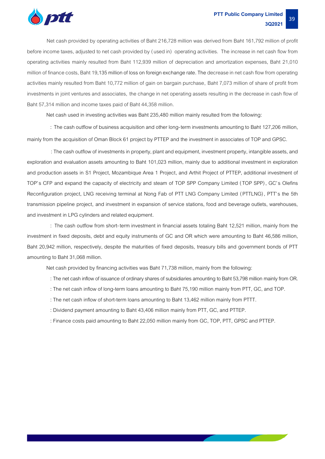

Net cash provided by operating activities of Baht 216,728 million was derived from Baht 161,792 million of profit before income taxes, adjusted to net cash provided by (used in) operating activities. The increase in net cash flow from operating activities mainly resulted from Baht 112,939 million of depreciation and amortization expenses, Baht 21,010 million of finance costs, Baht 19,135 million of loss on foreign exchange rate. The decrease in net cash flow from operating activities mainly resulted from Baht 10,772 million of gain on bargain purchase, Baht 7,073 million of share of profit from investments in joint ventures and associates, the change in net operating assets resulting in the decrease in cash flow of Baht 57,314 million and income taxes paid of Baht 44,358 million.

Net cash used in investing activities was Baht 235,480 million mainly resulted from the following:

: The cash outflow of business acquisition and other long-term investments amounting to Baht 127,206 million, mainly from the acquisition of Oman Block 61 project by PTTEP and the investment in associates of TOP and GPSC.

:The cash outflow of investments in property, plant and equipment, investment property, intangible assets, and exploration and evaluation assets amounting to Baht 101,023 million, mainly due to additional investment in exploration and production assets in S1 Project, Mozambique Area 1 Project, and Arthit Project of PTTEP, additional investment of TOP's CFP and expand the capacity of electricity and steam of TOP SPP Company Limited (TOP SPP), GC's Olefins Reconfiguration project, LNG receiving terminal at Nong Fab of PTT LNG Company Limited (PTTLNG), PTT's the 5th transmission pipeline project, and investment in expansion of service stations, food and beverage outlets, warehouses, and investment in LPG cylinders and related equipment.

: The cash outflow from short-term investment in financial assets totaling Baht 12,521 million, mainly from the investment in fixed deposits, debt and equity instruments of GC and OR which were amounting to Baht 46,586 million, Baht 20,942 million, respectively, despite the maturities of fixed deposits, treasury bills and government bonds of PTT amounting to Baht 31,068 million.

Net cash provided by financing activities was Baht 71,738 million, mainly from the following:

: The net cash inflow of issuance of ordinary shares of subsidiaries amounting to Baht 53,798 million mainly from OR.

- : The net cash inflow of long-term loans amounting to Baht 75,190 million mainly from PTT, GC, and TOP.
- : The net cash inflow of short-term loans amounting to Baht 13,462 million mainly from PTTT.
- : Dividend payment amounting to Baht 43,406 million mainly from PTT, GC, and PTTEP.

: Finance costs paid amounting to Baht 22,050 million mainly from GC,TOP, PTT, GPSC and PTTEP.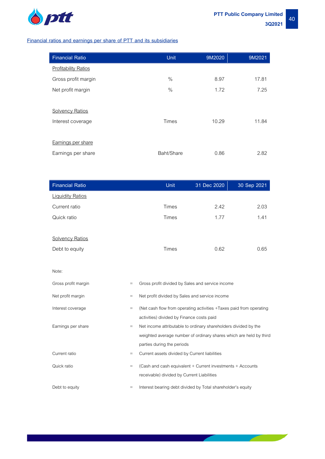

I

the company of the company

┍

#### **Financial ratios and earnings per share of PTT and its subsidiaries**

| <b>Financial Ratio</b>      | <b>Unit</b>  | 9M2020 | 9M2021 |
|-----------------------------|--------------|--------|--------|
| <b>Profitability Ratios</b> |              |        |        |
| Gross profit margin         | $\%$         | 8.97   | 17.81  |
| Net profit margin           | $\%$         | 1.72   | 7.25   |
|                             |              |        |        |
| <b>Solvency Ratios</b>      |              |        |        |
| Interest coverage           | <b>Times</b> | 10.29  | 11.84  |
|                             |              |        |        |
| Earnings per share          |              |        |        |
| Earnings per share          | Baht/Share   | 0.86   | 2.82   |

| <b>Financial Ratio</b>  |           | <b>Unit</b>                                                         | 31 Dec 2020 | 30 Sep 2021 |  |
|-------------------------|-----------|---------------------------------------------------------------------|-------------|-------------|--|
| <b>Liquidity Ratios</b> |           |                                                                     |             |             |  |
| Current ratio           |           | <b>Times</b>                                                        | 2.42        | 2.03        |  |
| Quick ratio             |           | Times                                                               | 1.77        | 1.41        |  |
|                         |           |                                                                     |             |             |  |
| <b>Solvency Ratios</b>  |           |                                                                     |             |             |  |
| Debt to equity          |           | <b>Times</b>                                                        | 0.62        | 0.65        |  |
|                         |           |                                                                     |             |             |  |
| Note:                   |           |                                                                     |             |             |  |
| Gross profit margin     | $\equiv$  | Gross profit divided by Sales and service income                    |             |             |  |
| Net profit margin       | $=$       | Net profit divided by Sales and service income                      |             |             |  |
| Interest coverage       | $=$       | (Net cash flow from operating activities +Taxes paid from operating |             |             |  |
|                         |           | activities) divided by Finance costs paid                           |             |             |  |
| Earnings per share      | $\equiv$  | Net income attributable to ordinary shareholders divided by the     |             |             |  |
|                         |           | weighted average number of ordinary shares which are held by third  |             |             |  |
|                         |           | parties during the periods                                          |             |             |  |
| Current ratio           | $\quad =$ | Current assets divided by Current liabilities                       |             |             |  |
| Quick ratio             | $\equiv$  | (Cash and cash equivalent + Current investments + Accounts          |             |             |  |
|                         |           | receivable) divided by Current Liabilities                          |             |             |  |
| Debt to equity          | $=$       | Interest bearing debt divided by Total shareholder's equity         |             |             |  |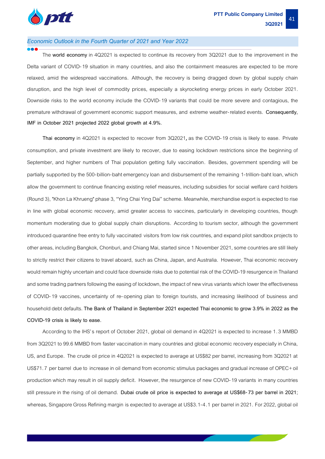

#### *Economic Outlook in the Fourth Quarter of 2021 and Year 2022*

The **world economy** in 4Q2021 is expected to continue its recovery from 3Q2021 due to the improvement in the Delta variant of COVID-19 situation in many countries, and also the containment measures are expected to be more relaxed, amid the widespread vaccinations. Although, the recovery is being dragged down by global supply chain disruption, and the high level of commodity prices, especially a skyrocketing energy prices in early October 2021. Downside risks to the world economy include the COVID-19 variants that could be more severe and contagious, the premature withdrawal of government economic support measures, and extreme weather-related events. **Consequently, IMF in October 2021 projected 2022 global growth at 4.9%.**

Thai economy in 4Q2021 is expected to recover from 3Q2021, as the COVID-19 crisis is likely to ease. Private consumption, and private investment are likely to recover, due to easing lockdown restrictions since the beginning of September, and higher numbers of Thai population getting fully vaccination. Besides, government spending will be partially supported by the 500-billion-baht emergency loan and disbursement of the remaining 1-trillion-baht loan, which allow the government to continue financing existing relief measures, including subsidies for social welfare card holders (Round 3), "Khon La Khrueng" phase 3, "Ying Chai Ying Dai" scheme. Meanwhile, merchandiseexport is expected to rise in line with global economic recovery, amid greater access to vaccines, particularly in developing countries, though momentum moderating due to global supply chain disruptions. According to tourism sector, although the government introduced quarantine free entry to fully vaccinated visitors from low risk countries, and expand pilot sandbox projects to other areas, including Bangkok, Chonburi, and Chiang Mai, started since 1 November 2021, some countries are still likely to strictly restrict their citizens to travel aboard, such as China, Japan, and Australia. However, Thai economic recovery would remain highly uncertain and could face downside risks due to potential risk of the COVID-19 resurgence in Thailand and some trading partners following the easing of lockdown, the impact of new virus variants which lower the effectiveness of COVID-19 vaccines, uncertainty of re-opening plan to foreign tourists, and increasing likelihood of business and household debt defaults. **The Bank of Thailand in September 2021 expected Thai economic to grow 3.9% in 2022 as the COVID-19 crisis is likely to ease.**

According to the IHS's report of October 2021, global oil demand in 4Q2021 is expected to increase 1.3 MMBD from 3Q2021 to 99.6 MMBD from faster vaccination in many countries and global economic recovery especially in China, US, and Europe. The crude oil price in 4Q2021 is expected to average at US\$82 per barrel, increasing from 3Q2021 at US\$71.7 per barrel due to increase in oil demand from economic stimulus packages and gradual increase of OPEC+oil production which may result in oil supply deficit. However, the resurgence of new COVID-19 variants in many countries still pressure in the rising of oil demand. **Dubai crude oil price is expected to average at US\$68-73 per barrel in 2021**; whereas, Singapore Gross Refining margin is expected to average at US\$3.1-4.1 per barrel in 2021. For 2022, global oil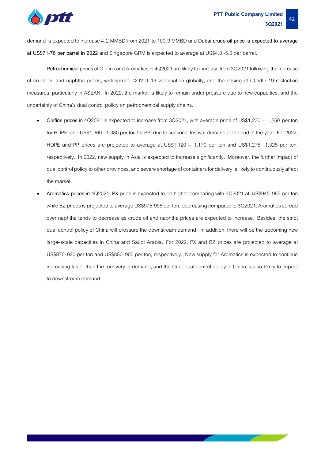

demand is expected to increase 4.2 MMBD from 2021 to 100.9 MMBD and **Dubai crude oil price is expected to average at US\$71-76 per barrel in 2022** and Singapore GRM is expected to average at US\$4.0.-5.0 per barrel.

Petrochemical prices of Olefins and Aromatics in 4Q2021 are likely to increase from 3Q2021 following the increase of crude oil and naphtha prices, widespread COVID-19 vaccination globally, and the easing of COVID-19 restriction measures, particularly in ASEAN. In 2022, the market is likely to remain under pressure due to new capacities, and the uncertainty of China's dual control policy on petrochemical supply chains.

- **Olefins prices** in 4Q2021 is expected to increase from 3Q2021, with average price of US\$1,230 1,250 per ton for HDPE, and US\$1,360 -1,380 per ton for PP, due to seasonal festival demand at the end of the year. For 2022, HDPE and PP prices are projected to average at US\$1,120 – 1,170 per ton and US\$1,275 -1,325 per ton, respectively. In 2022, new supply in Asia is expected to increase significantly. Moreover, the further impact of dual control policy to other provinces, and severe shortage of containers for delivery is likely to continuously affect the market.
- **Aromatics prices** in 4Q2021, PX price is expected to be higher comparing with 3Q2021 at US\$945-965 per ton while BZ prices is projected to average US\$975-995 per ton, decreasing compared to 3Q2021. Aromatics spread over naphtha tends to decrease as crude oil and naphtha prices are expected to increase. Besides, the strict dual control policy of China will pressure the downstream demand. In addition, there will be the upcoming new large-scale capacities in China and Saudi Arabia. For 2022, PX and BZ prices are projected to average at US\$870-920 per ton and US\$850-900 per ton, respectively. New supply for Aromatics is expected to continue increasing faster than the recovery in demand, and the strict dual control policy in China is also likely to impact to downstream demand.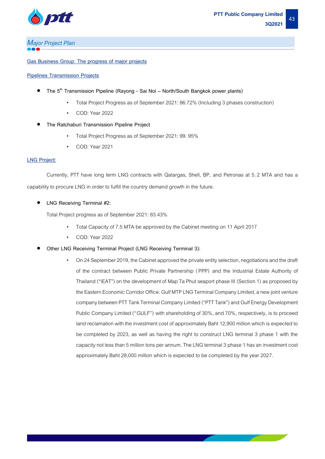

## *Major Project Plan*

#### **Gas Business Group: The progress of major projects**

#### **Pipelines Transmission Projects**

- **The 5th Transmission Pipeline (Rayong - Sai Noi – North/South Bangkok power plants)** 
	- Total Project Progress as of September 2021: 86.72% (Including 3 phases construction)
	- COD: Year 2022
- **The Ratchaburi Transmission Pipeline Project** 
	- Total Project Progress as of September 2021: 99. 95%
	- COD: Year 2021

#### **LNG Project:**

Currently, PTT have long term LNG contracts with Qatargas, Shell, BP, and Petronas at 5.2 MTA and has a capability to procure LNG in order to fulfill the country demand growth in the future.

• **LNG Receiving Terminal #2:**

Total Project progress as of September 2021: 83.43%

- Total Capacity of 7.5 MTA be approved by the Cabinet meeting on 11 April 2017
- COD: Year 2022
- **Other LNG Receiving Terminal Project (LNG Receiving Terminal 3):**
	- On 24 September 2019, the Cabinet approved the private entity selection, negotiations and the draft of the contract between Public Private Partnership ( PPP) and the Industrial Estate Authority of Thailand ("IEAT") on the development of Map Ta Phut seaport phase III (Section 1) as proposed by the Eastern Economic Corridor Office. Gulf MTP LNG Terminal Company Limited, a new joint venture company between PTT Tank Terminal Company Limited ("PTT Tank") and Gulf Energy Development Public Company Limited ("GULF") with shareholding of 30%, and 70%, respectively, is to proceed land reclamation with the investment cost of approximately Baht 12,900 million which is expected to be completed by 2023, as well as having the right to construct LNG terminal 3 phase 1 with the capacity not less than 5 million tons per annum. The LNG terminal 3 phase 1 has an investment cost approximately Baht 28,000 million which is expected to be completed by the year 2027.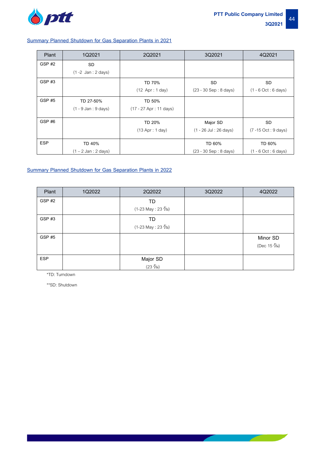

#### **Summary Planned Shutdown for Gas Separation Plants in 2021**

| Plant             | 1Q2021                                 | 2Q2021                  | 3Q2021                   | 4Q2021                                 |
|-------------------|----------------------------------------|-------------------------|--------------------------|----------------------------------------|
| GSP <sub>#2</sub> | <b>SD</b>                              |                         |                          |                                        |
|                   | $(1 - 2$ Jan : 2 days)                 |                         |                          |                                        |
| <b>GSP #3</b>     |                                        | TD 70%                  | <b>SD</b>                | SD                                     |
|                   |                                        | $(12$ Apr: 1 day)       | (23 - 30 Sep: 8 days)    | $(1 - 6 Oct : 6 days)$                 |
| <b>GSP #5</b>     | TD 27-50%                              | TD 50%                  |                          |                                        |
|                   | $(1 - 9$ Jan : $9$ days)               | (17 - 27 Apr : 11 days) |                          |                                        |
| GSP#6             |                                        | TD 20%                  | Major SD                 | SD                                     |
|                   |                                        | $(13$ Apr : 1 day)      | $(1 - 26$ Jul : 26 days) | $(7 - 15 \text{ Oct}: 9 \text{ days})$ |
| <b>ESP</b>        |                                        |                         |                          |                                        |
|                   | TD 40%                                 |                         | TD 60%                   | TD 60%                                 |
|                   | $(1 - 2 \text{ Jan} : 2 \text{ days})$ |                         | $(23 - 30$ Sep: 8 days)  | $(1 - 6 Oct : 6 days)$                 |

#### **Summary Planned Shutdown for Gas Separation Plants in 2022**

| Plant         | 1Q2022 | 2Q2022               | 3Q2022 | 4Q2022       |
|---------------|--------|----------------------|--------|--------------|
| GSP #2        |        | TD                   |        |              |
|               |        | (1-23 May : 23 วัน)  |        |              |
| GSP#3         |        | TD                   |        |              |
|               |        | (1-23 May : 23 วัน)  |        |              |
| <b>GSP #5</b> |        |                      |        | Minor SD     |
|               |        |                      |        | (Dec 15 วัน) |
| <b>ESP</b>    |        | Major SD             |        |              |
|               |        | $(23 \tilde{)}$ ไม่) |        |              |

\*TD: Turndown

\*\*SD: Shutdown